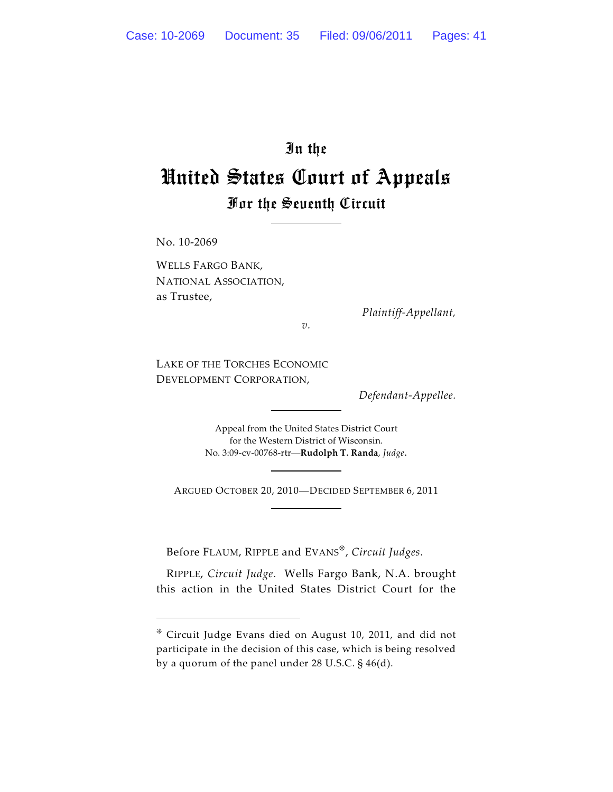# In the United States Court of Appeals For the Seventh Circuit

No. 10-2069

WELLS FARGO BANK, NATIONAL ASSOCIATION, as Trustee,

*Plaintiff-Appellant,*

*v.*

LAKE OF THE TORCHES ECONOMIC DEVELOPMENT CORPORATION,

*Defendant-Appellee.*

Appeal from the United States District Court for the Western District of Wisconsin. No. 3:09-cv-00768-rtr—**Rudolph T. Randa**, *Judge*.

ARGUED OCTOBER 20, 2010—DECIDED SEPTEMBER 6, 2011

Before FLAUM, RIPPLE and EVANS , *Circuit Judges*.

RIPPLE, *Circuit Judge*. Wells Fargo Bank, N.A. brought this action in the United States District Court for the

Circuit Judge Evans died on August 10, 2011, and did not participate in the decision of this case, which is being resolved by a quorum of the panel under 28 U.S.C. § 46(d).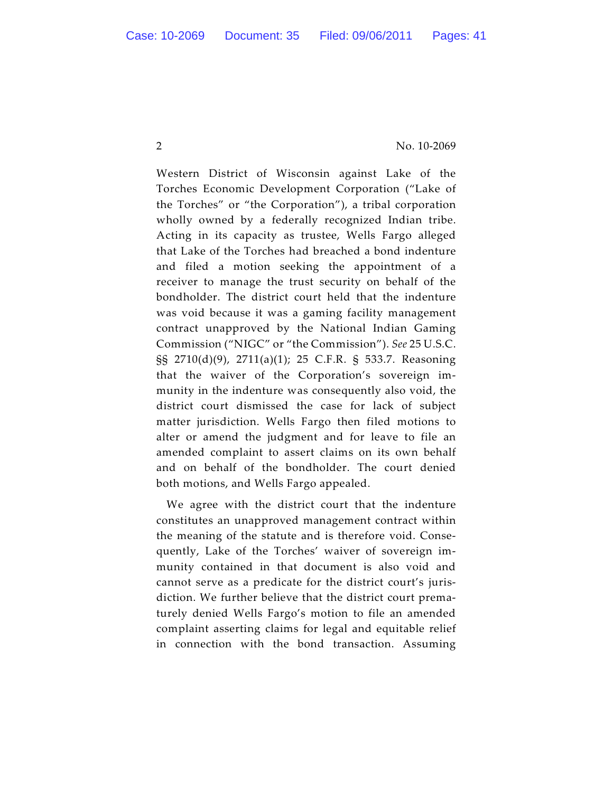Western District of Wisconsin against Lake of the Torches Economic Development Corporation ("Lake of the Torches" or "the Corporation"), a tribal corporation wholly owned by a federally recognized Indian tribe. Acting in its capacity as trustee, Wells Fargo alleged that Lake of the Torches had breached a bond indenture and filed a motion seeking the appointment of a receiver to manage the trust security on behalf of the bondholder. The district court held that the indenture was void because it was a gaming facility management contract unapproved by the National Indian Gaming Commission ("NIGC" or "the Commission"). *See* 25 U.S.C. §§ 2710(d)(9), 2711(a)(1); 25 C.F.R. § 533.7. Reasoning that the waiver of the Corporation's sovereign immunity in the indenture was consequently also void, the district court dismissed the case for lack of subject matter jurisdiction. Wells Fargo then filed motions to alter or amend the judgment and for leave to file an amended complaint to assert claims on its own behalf and on behalf of the bondholder. The court denied both motions, and Wells Fargo appealed.

We agree with the district court that the indenture constitutes an unapproved management contract within the meaning of the statute and is therefore void. Consequently, Lake of the Torches' waiver of sovereign immunity contained in that document is also void and cannot serve as a predicate for the district court's jurisdiction. We further believe that the district court prematurely denied Wells Fargo's motion to file an amended complaint asserting claims for legal and equitable relief in connection with the bond transaction. Assuming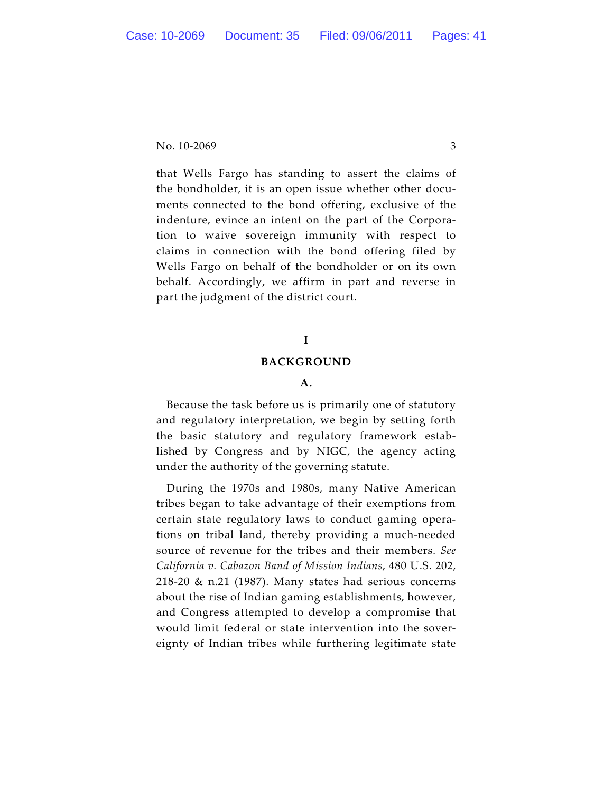that Wells Fargo has standing to assert the claims of the bondholder, it is an open issue whether other documents connected to the bond offering, exclusive of the indenture, evince an intent on the part of the Corporation to waive sovereign immunity with respect to claims in connection with the bond offering filed by Wells Fargo on behalf of the bondholder or on its own behalf. Accordingly, we affirm in part and reverse in part the judgment of the district court.

# **I**

#### **BACKGROUND**

#### **A.**

Because the task before us is primarily one of statutory and regulatory interpretation, we begin by setting forth the basic statutory and regulatory framework established by Congress and by NIGC, the agency acting under the authority of the governing statute.

During the 1970s and 1980s, many Native American tribes began to take advantage of their exemptions from certain state regulatory laws to conduct gaming operations on tribal land, thereby providing a much-needed source of revenue for the tribes and their members. *See California v. Cabazon Band of Mission Indians*, 480 U.S. 202, 218-20 & n.21 (1987). Many states had serious concerns about the rise of Indian gaming establishments, however, and Congress attempted to develop a compromise that would limit federal or state intervention into the sovereignty of Indian tribes while furthering legitimate state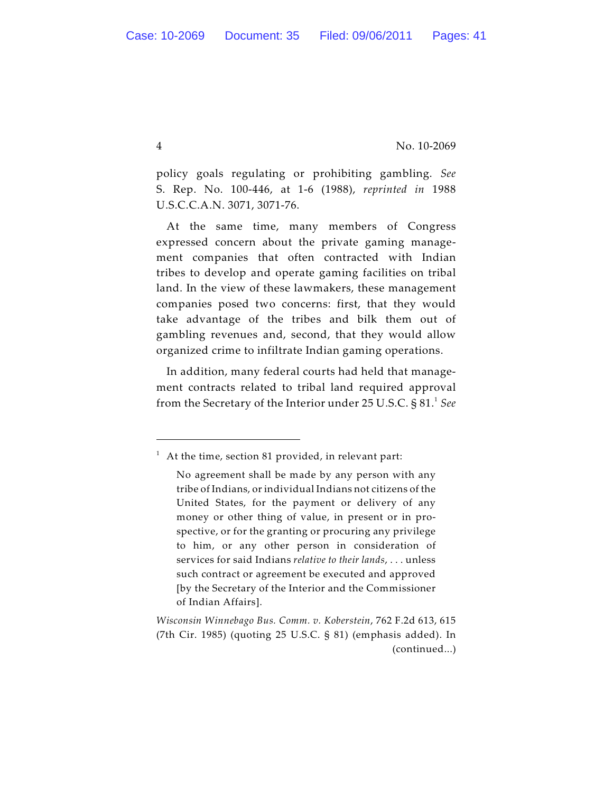policy goals regulating or prohibiting gambling. *See* S. Rep. No. 100-446, at 1-6 (1988), *reprinted in* 1988 U.S.C.C.A.N. 3071, 3071-76.

At the same time, many members of Congress expressed concern about the private gaming management companies that often contracted with Indian tribes to develop and operate gaming facilities on tribal land. In the view of these lawmakers, these management companies posed two concerns: first, that they would take advantage of the tribes and bilk them out of gambling revenues and, second, that they would allow organized crime to infiltrate Indian gaming operations.

In addition, many federal courts had held that management contracts related to tribal land required approval from the Secretary of the Interior under 25 U.S.C. § 81.<sup>1</sup> See

 $1$  At the time, section 81 provided, in relevant part:

No agreement shall be made by any person with any tribe of Indians, or individual Indians not citizens of the United States, for the payment or delivery of any money or other thing of value, in present or in prospective, or for the granting or procuring any privilege to him, or any other person in consideration of services for said Indians *relative to their lands*, . . . unless such contract or agreement be executed and approved [by the Secretary of the Interior and the Commissioner of Indian Affairs].

*Wisconsin Winnebago Bus. Comm. v. Koberstein*, 762 F.2d 613, 615 (7th Cir. 1985) (quoting 25 U.S.C. § 81) (emphasis added). In (continued...)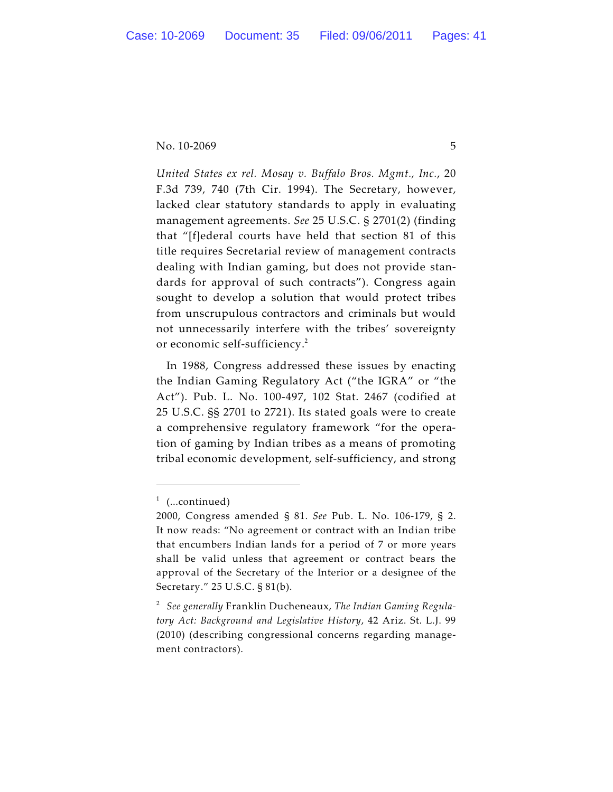*United States ex rel. Mosay v. Buffalo Bros. Mgmt., Inc.*, 20 F.3d 739, 740 (7th Cir. 1994). The Secretary, however, lacked clear statutory standards to apply in evaluating management agreements. *See* 25 U.S.C. § 2701(2) (finding that "[f]ederal courts have held that section 81 of this title requires Secretarial review of management contracts dealing with Indian gaming, but does not provide standards for approval of such contracts"). Congress again sought to develop a solution that would protect tribes from unscrupulous contractors and criminals but would not unnecessarily interfere with the tribes' sovereignty or economic self-sufficiency.<sup>2</sup>

In 1988, Congress addressed these issues by enacting the Indian Gaming Regulatory Act ("the IGRA" or "the Act"). Pub. L. No. 100-497, 102 Stat. 2467 (codified at 25 U.S.C. §§ 2701 to 2721). Its stated goals were to create a comprehensive regulatory framework "for the operation of gaming by Indian tribes as a means of promoting tribal economic development, self-sufficiency, and strong

 $1$  (...continued)

<sup>2000,</sup> Congress amended § 81. *See* Pub. L. No. 106-179, § 2. It now reads: "No agreement or contract with an Indian tribe that encumbers Indian lands for a period of 7 or more years shall be valid unless that agreement or contract bears the approval of the Secretary of the Interior or a designee of the Secretary." 25 U.S.C. § 81(b).

*See generally* Franklin Ducheneaux, *The Indian Gaming Regula-* <sup>2</sup> *tory Act: Background and Legislative History*, 42 Ariz. St. L.J. 99 (2010) (describing congressional concerns regarding management contractors).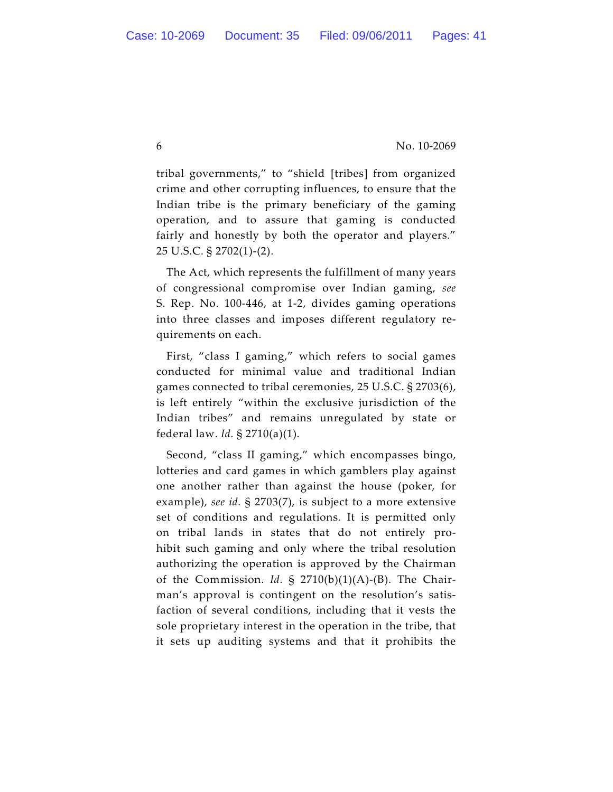tribal governments," to "shield [tribes] from organized crime and other corrupting influences, to ensure that the Indian tribe is the primary beneficiary of the gaming operation, and to assure that gaming is conducted fairly and honestly by both the operator and players." 25 U.S.C. § 2702(1)-(2).

The Act, which represents the fulfillment of many years of congressional compromise over Indian gaming, *see* S. Rep. No. 100-446, at 1-2, divides gaming operations into three classes and imposes different regulatory requirements on each.

First, "class I gaming," which refers to social games conducted for minimal value and traditional Indian games connected to tribal ceremonies, 25 U.S.C. § 2703(6), is left entirely "within the exclusive jurisdiction of the Indian tribes" and remains unregulated by state or federal law. *Id.* § 2710(a)(1).

Second, "class II gaming," which encompasses bingo, lotteries and card games in which gamblers play against one another rather than against the house (poker, for example), *see id.* § 2703(7), is subject to a more extensive set of conditions and regulations. It is permitted only on tribal lands in states that do not entirely prohibit such gaming and only where the tribal resolution authorizing the operation is approved by the Chairman of the Commission. *Id.* § 2710(b)(1)(A)-(B). The Chairman's approval is contingent on the resolution's satisfaction of several conditions, including that it vests the sole proprietary interest in the operation in the tribe, that it sets up auditing systems and that it prohibits the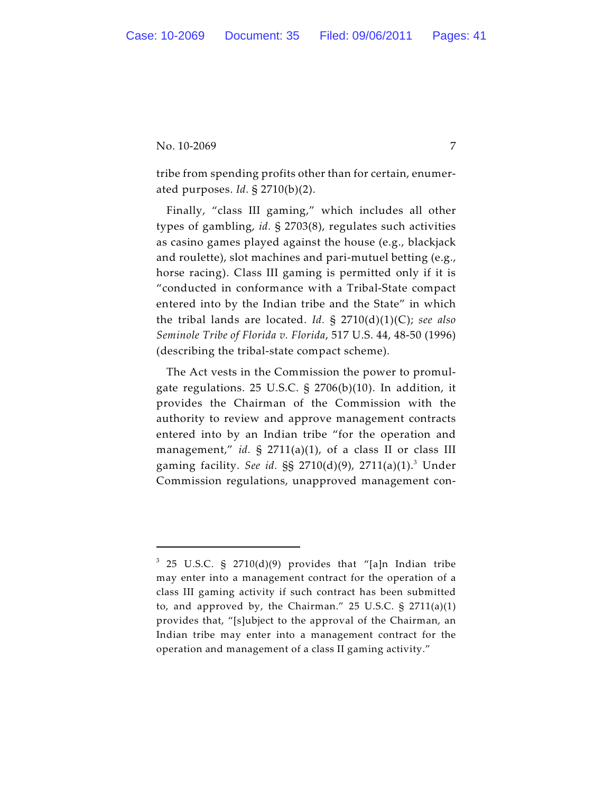tribe from spending profits other than for certain, enumerated purposes. *Id.* § 2710(b)(2).

Finally, "class III gaming," which includes all other types of gambling, *id.* § 2703(8), regulates such activities as casino games played against the house (e.g., blackjack and roulette), slot machines and pari-mutuel betting (e.g., horse racing). Class III gaming is permitted only if it is "conducted in conformance with a Tribal-State compact entered into by the Indian tribe and the State" in which the tribal lands are located. *Id.* § 2710(d)(1)(C); *see also Seminole Tribe of Florida v. Florida*, 517 U.S. 44, 48-50 (1996) (describing the tribal-state compact scheme).

The Act vests in the Commission the power to promulgate regulations. 25 U.S.C. § 2706(b)(10). In addition, it provides the Chairman of the Commission with the authority to review and approve management contracts entered into by an Indian tribe "for the operation and management," *id.* § 2711(a)(1), of a class II or class III gaming facility. *See id.* §§ 2710(d)(9), 2711(a)(1).<sup>3</sup> Under Commission regulations, unapproved management con-

 $3$  25 U.S.C. § 2710(d)(9) provides that "[a]n Indian tribe may enter into a management contract for the operation of a class III gaming activity if such contract has been submitted to, and approved by, the Chairman."  $25$  U.S.C. §  $2711(a)(1)$ provides that, "[s]ubject to the approval of the Chairman, an Indian tribe may enter into a management contract for the operation and management of a class II gaming activity."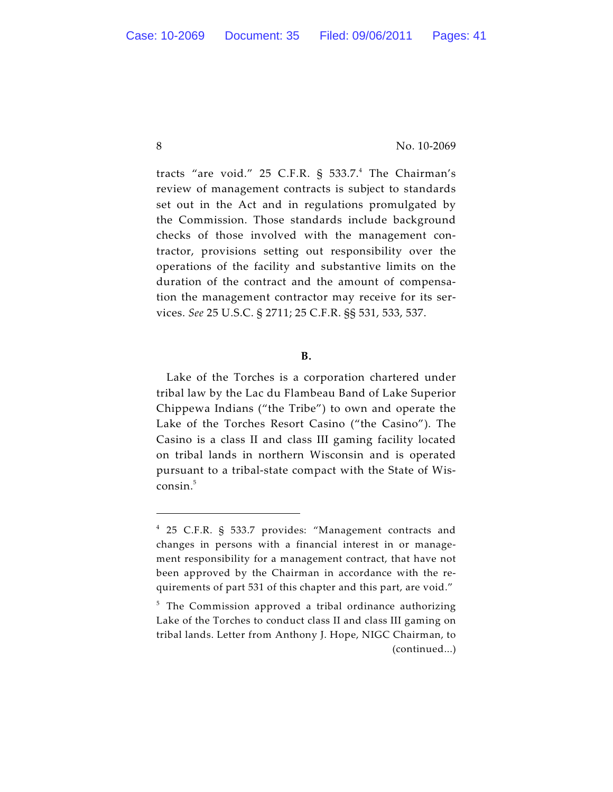tracts "are void." 25 C.F.R.  $\S$  533.7.<sup>4</sup> The Chairman's review of management contracts is subject to standards set out in the Act and in regulations promulgated by the Commission. Those standards include background checks of those involved with the management contractor, provisions setting out responsibility over the operations of the facility and substantive limits on the duration of the contract and the amount of compensation the management contractor may receive for its services. *See* 25 U.S.C. § 2711; 25 C.F.R. §§ 531, 533, 537.

# **B.**

Lake of the Torches is a corporation chartered under tribal law by the Lac du Flambeau Band of Lake Superior Chippewa Indians ("the Tribe") to own and operate the Lake of the Torches Resort Casino ("the Casino"). The Casino is a class II and class III gaming facility located on tribal lands in northern Wisconsin and is operated pursuant to a tribal-state compact with the State of Wis $consin.<sup>5</sup>$ 

<sup>25</sup> C.F.R. § 533.7 provides: "Management contracts and 4 changes in persons with a financial interest in or management responsibility for a management contract, that have not been approved by the Chairman in accordance with the requirements of part 531 of this chapter and this part, are void."

 $5$  The Commission approved a tribal ordinance authorizing Lake of the Torches to conduct class II and class III gaming on tribal lands. Letter from Anthony J. Hope, NIGC Chairman, to (continued...)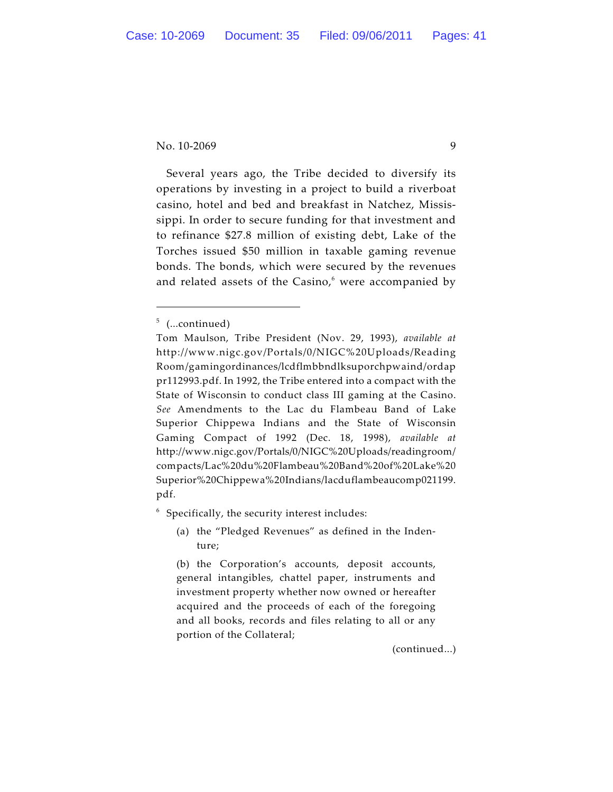Several years ago, the Tribe decided to diversify its operations by investing in a project to build a riverboat casino, hotel and bed and breakfast in Natchez, Mississippi. In order to secure funding for that investment and to refinance \$27.8 million of existing debt, Lake of the Torches issued \$50 million in taxable gaming revenue bonds. The bonds, which were secured by the revenues and related assets of the Casino, $6$  were accompanied by

 $6$  Specifically, the security interest includes:

(a) the "Pledged Revenues" as defined in the Indenture;

(b) the Corporation's accounts, deposit accounts, general intangibles, chattel paper, instruments and investment property whether now owned or hereafter acquired and the proceeds of each of the foregoing and all books, records and files relating to all or any portion of the Collateral;

(continued...)

 $5$  (...continued)

Tom Maulson, Tribe President (Nov. 29, 1993), *available at* http://www.nigc.gov/Portals/0/NIGC%20Uploads/Reading Room/gamingordinances/lcdflmbbndlksuporchpwaind/ordap pr112993.pdf. In 1992, the Tribe entered into a compact with the State of Wisconsin to conduct class III gaming at the Casino. *See* Amendments to the Lac du Flambeau Band of Lake Superior Chippewa Indians and the State of Wisconsin Gaming Compact of 1992 (Dec. 18, 1998), *available at* http://www.nigc.gov/Portals/0/NIGC%20Uploads/readingroom/ compacts/Lac%20du%20Flambeau%20Band%20of%20Lake%20 Superior%20Chippewa%20Indians/lacduflambeaucomp021199. pdf.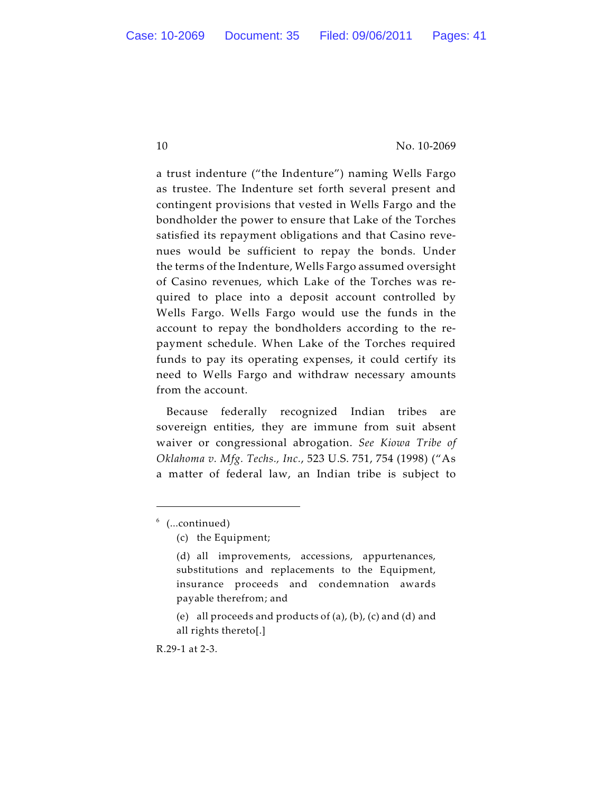a trust indenture ("the Indenture") naming Wells Fargo as trustee. The Indenture set forth several present and contingent provisions that vested in Wells Fargo and the bondholder the power to ensure that Lake of the Torches satisfied its repayment obligations and that Casino revenues would be sufficient to repay the bonds. Under the terms of the Indenture, Wells Fargo assumed oversight of Casino revenues, which Lake of the Torches was required to place into a deposit account controlled by Wells Fargo. Wells Fargo would use the funds in the account to repay the bondholders according to the repayment schedule. When Lake of the Torches required funds to pay its operating expenses, it could certify its need to Wells Fargo and withdraw necessary amounts from the account.

Because federally recognized Indian tribes are sovereign entities, they are immune from suit absent waiver or congressional abrogation. *See Kiowa Tribe of Oklahoma v. Mfg. Techs., Inc.*, 523 U.S. 751, 754 (1998) ("As a matter of federal law, an Indian tribe is subject to

R.29-1 at 2-3.

 $6$  (...continued)

<sup>(</sup>c) the Equipment;

<sup>(</sup>d) all improvements, accessions, appurtenances, substitutions and replacements to the Equipment, insurance proceeds and condemnation awards payable therefrom; and

<sup>(</sup>e) all proceeds and products of (a), (b), (c) and (d) and all rights thereto[.]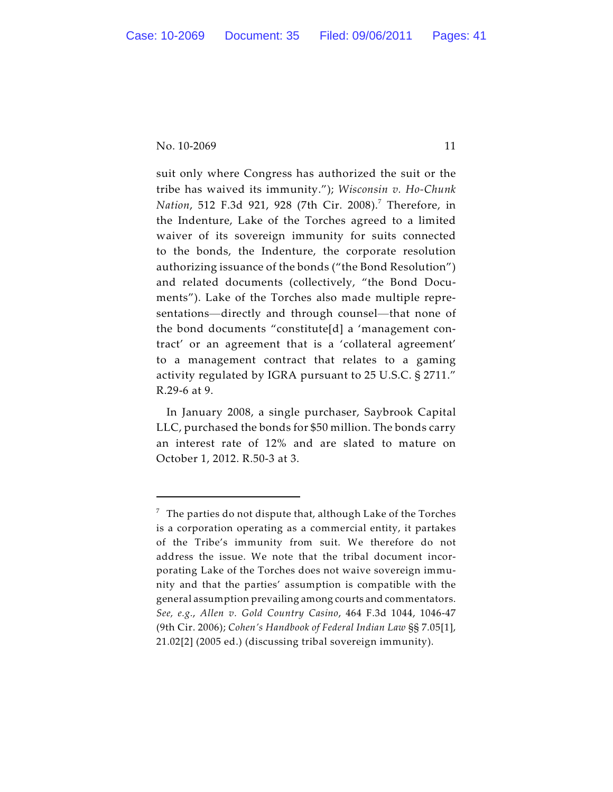suit only where Congress has authorized the suit or the tribe has waived its immunity."); *Wisconsin v. Ho-Chunk Nation,* 512 F.3d 921, 928 (7th Cir. 2008).<sup>7</sup> Therefore, in the Indenture, Lake of the Torches agreed to a limited waiver of its sovereign immunity for suits connected to the bonds, the Indenture, the corporate resolution authorizing issuance of the bonds ("the Bond Resolution") and related documents (collectively, "the Bond Documents"). Lake of the Torches also made multiple representations—directly and through counsel—that none of the bond documents "constitute[d] a 'management contract' or an agreement that is a 'collateral agreement' to a management contract that relates to a gaming activity regulated by IGRA pursuant to 25 U.S.C. § 2711." R.29-6 at 9.

In January 2008, a single purchaser, Saybrook Capital LLC, purchased the bonds for \$50 million. The bonds carry an interest rate of 12% and are slated to mature on October 1, 2012. R.50-3 at 3.

 $7$  The parties do not dispute that, although Lake of the Torches is a corporation operating as a commercial entity, it partakes of the Tribe's immunity from suit. We therefore do not address the issue. We note that the tribal document incorporating Lake of the Torches does not waive sovereign immunity and that the parties' assumption is compatible with the general assumption prevailing among courts and commentators. *See, e.g.*, *Allen v. Gold Country Casino*, 464 F.3d 1044, 1046-47 (9th Cir. 2006); *Cohen's Handbook of Federal Indian Law* §§ 7.05[1], 21.02[2] (2005 ed.) (discussing tribal sovereign immunity).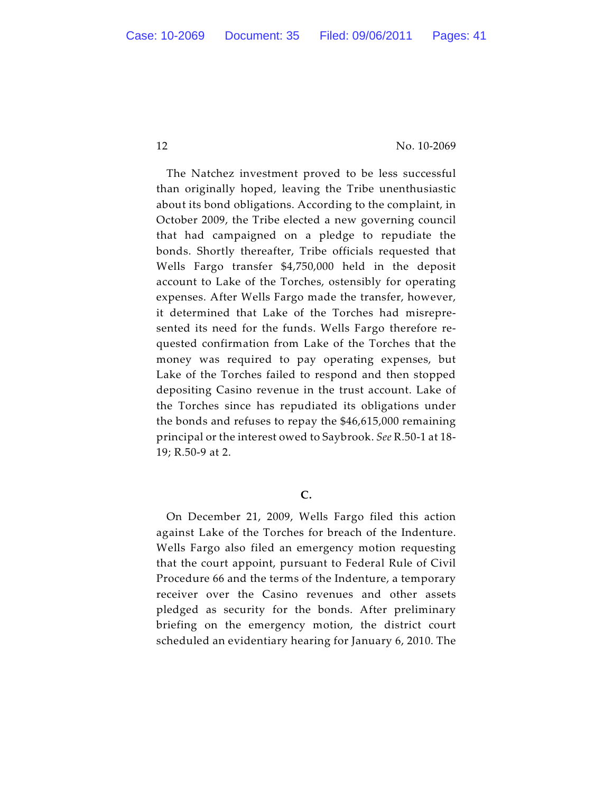The Natchez investment proved to be less successful than originally hoped, leaving the Tribe unenthusiastic about its bond obligations. According to the complaint, in October 2009, the Tribe elected a new governing council that had campaigned on a pledge to repudiate the bonds. Shortly thereafter, Tribe officials requested that Wells Fargo transfer \$4,750,000 held in the deposit account to Lake of the Torches, ostensibly for operating expenses. After Wells Fargo made the transfer, however, it determined that Lake of the Torches had misrepresented its need for the funds. Wells Fargo therefore requested confirmation from Lake of the Torches that the money was required to pay operating expenses, but Lake of the Torches failed to respond and then stopped depositing Casino revenue in the trust account. Lake of the Torches since has repudiated its obligations under the bonds and refuses to repay the \$46,615,000 remaining principal or the interest owed to Saybrook. *See* R.50-1 at 18- 19; R.50-9 at 2.

**C.**

On December 21, 2009, Wells Fargo filed this action against Lake of the Torches for breach of the Indenture. Wells Fargo also filed an emergency motion requesting that the court appoint, pursuant to Federal Rule of Civil Procedure 66 and the terms of the Indenture, a temporary receiver over the Casino revenues and other assets pledged as security for the bonds. After preliminary briefing on the emergency motion, the district court scheduled an evidentiary hearing for January 6, 2010. The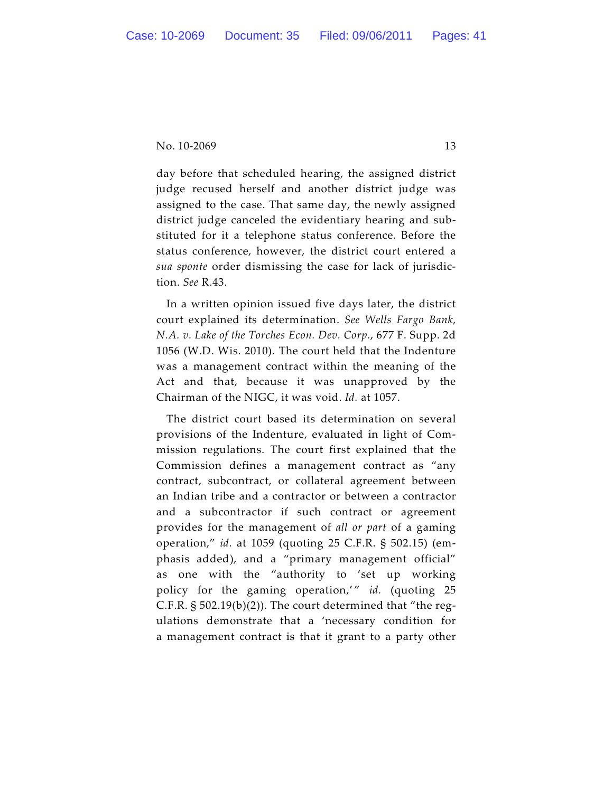day before that scheduled hearing, the assigned district judge recused herself and another district judge was assigned to the case. That same day, the newly assigned district judge canceled the evidentiary hearing and substituted for it a telephone status conference. Before the status conference, however, the district court entered a *sua sponte* order dismissing the case for lack of jurisdiction. *See* R.43.

In a written opinion issued five days later, the district court explained its determination. *See Wells Fargo Bank, N.A. v. Lake of the Torches Econ. Dev. Corp.*, 677 F. Supp. 2d 1056 (W.D. Wis. 2010). The court held that the Indenture was a management contract within the meaning of the Act and that, because it was unapproved by the Chairman of the NIGC, it was void. *Id.* at 1057.

The district court based its determination on several provisions of the Indenture, evaluated in light of Commission regulations. The court first explained that the Commission defines a management contract as "any contract, subcontract, or collateral agreement between an Indian tribe and a contractor or between a contractor and a subcontractor if such contract or agreement provides for the management of *all or part* of a gaming operation," *id.* at 1059 (quoting 25 C.F.R. § 502.15) (emphasis added), and a "primary management official" as one with the "authority to 'set up working policy for the gaming operation,'" id. (quoting 25 C.F.R. § 502.19(b)(2)). The court determined that "the regulations demonstrate that a 'necessary condition for a management contract is that it grant to a party other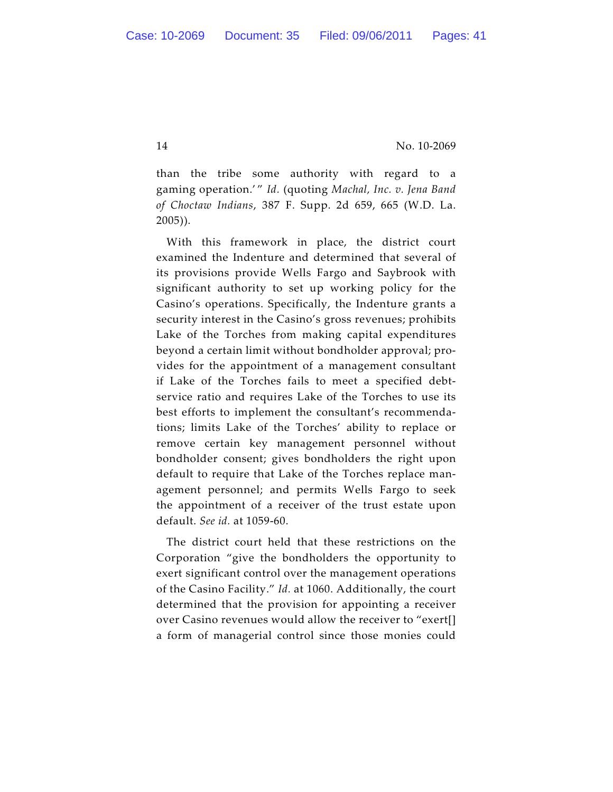than the tribe some authority with regard to a gaming operation.' " *Id.* (quoting *Machal, Inc. v. Jena Band of Choctaw Indians*, 387 F. Supp. 2d 659, 665 (W.D. La. 2005)).

With this framework in place, the district court examined the Indenture and determined that several of its provisions provide Wells Fargo and Saybrook with significant authority to set up working policy for the Casino's operations. Specifically, the Indenture grants a security interest in the Casino's gross revenues; prohibits Lake of the Torches from making capital expenditures beyond a certain limit without bondholder approval; provides for the appointment of a management consultant if Lake of the Torches fails to meet a specified debtservice ratio and requires Lake of the Torches to use its best efforts to implement the consultant's recommendations; limits Lake of the Torches' ability to replace or remove certain key management personnel without bondholder consent; gives bondholders the right upon default to require that Lake of the Torches replace management personnel; and permits Wells Fargo to seek the appointment of a receiver of the trust estate upon default. *See id.* at 1059-60.

The district court held that these restrictions on the Corporation "give the bondholders the opportunity to exert significant control over the management operations of the Casino Facility." *Id.* at 1060. Additionally, the court determined that the provision for appointing a receiver over Casino revenues would allow the receiver to "exert[] a form of managerial control since those monies could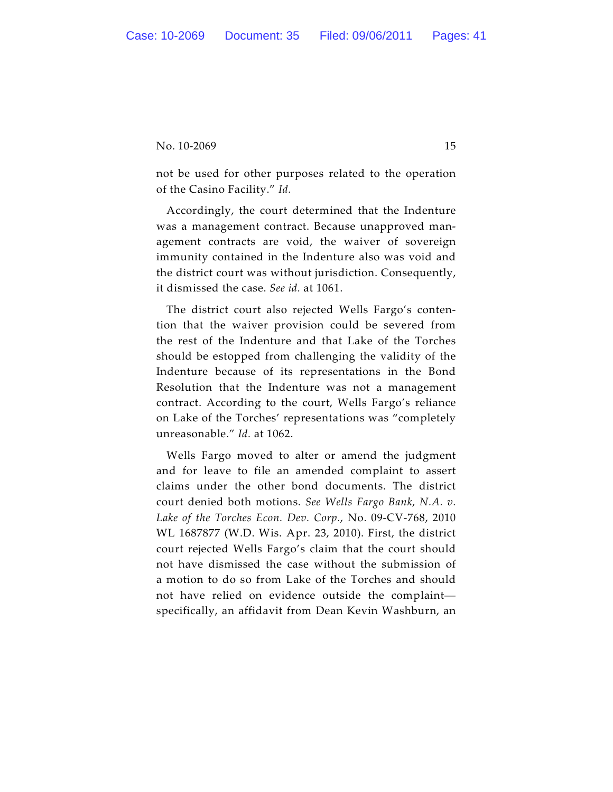not be used for other purposes related to the operation of the Casino Facility." *Id.*

Accordingly, the court determined that the Indenture was a management contract. Because unapproved management contracts are void, the waiver of sovereign immunity contained in the Indenture also was void and the district court was without jurisdiction. Consequently, it dismissed the case. *See id.* at 1061.

The district court also rejected Wells Fargo's contention that the waiver provision could be severed from the rest of the Indenture and that Lake of the Torches should be estopped from challenging the validity of the Indenture because of its representations in the Bond Resolution that the Indenture was not a management contract. According to the court, Wells Fargo's reliance on Lake of the Torches' representations was "completely unreasonable." *Id.* at 1062.

Wells Fargo moved to alter or amend the judgment and for leave to file an amended complaint to assert claims under the other bond documents. The district court denied both motions. *See Wells Fargo Bank, N.A. v. Lake of the Torches Econ. Dev. Corp.*, No. 09-CV-768, 2010 WL 1687877 (W.D. Wis. Apr. 23, 2010). First, the district court rejected Wells Fargo's claim that the court should not have dismissed the case without the submission of a motion to do so from Lake of the Torches and should not have relied on evidence outside the complaint specifically, an affidavit from Dean Kevin Washburn, an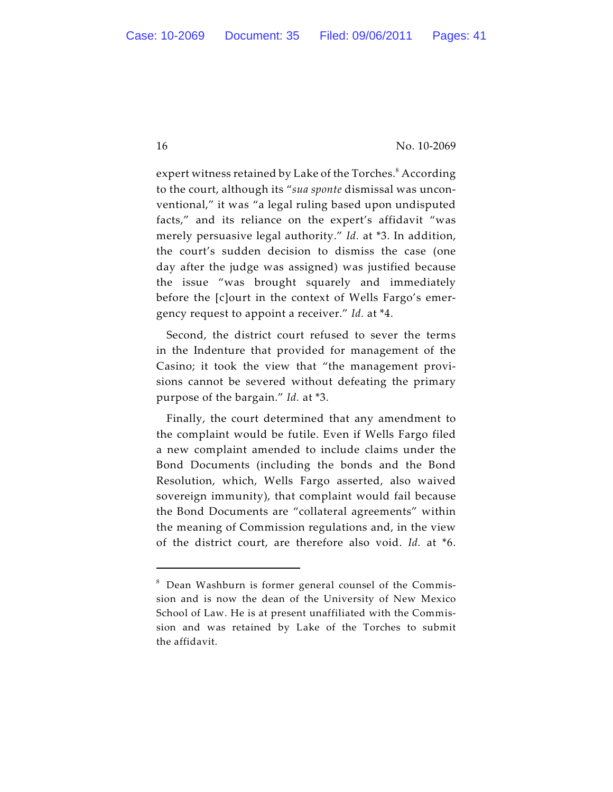expert witness retained by Lake of the Torches.<sup>8</sup> According to the court, although its "*sua sponte* dismissal was unconventional," it was "a legal ruling based upon undisputed facts," and its reliance on the expert's affidavit "was merely persuasive legal authority." *Id.* at \*3. In addition, the court's sudden decision to dismiss the case (one day after the judge was assigned) was justified because the issue "was brought squarely and immediately before the [c]ourt in the context of Wells Fargo's emergency request to appoint a receiver." *Id.* at \*4.

Second, the district court refused to sever the terms in the Indenture that provided for management of the Casino; it took the view that "the management provisions cannot be severed without defeating the primary purpose of the bargain." *Id.* at \*3.

Finally, the court determined that any amendment to the complaint would be futile. Even if Wells Fargo filed a new complaint amended to include claims under the Bond Documents (including the bonds and the Bond Resolution, which, Wells Fargo asserted, also waived sovereign immunity), that complaint would fail because the Bond Documents are "collateral agreements" within the meaning of Commission regulations and, in the view of the district court, are therefore also void. *Id.* at \*6.

 $8$  Dean Washburn is former general counsel of the Commission and is now the dean of the University of New Mexico School of Law. He is at present unaffiliated with the Commission and was retained by Lake of the Torches to submit the affidavit.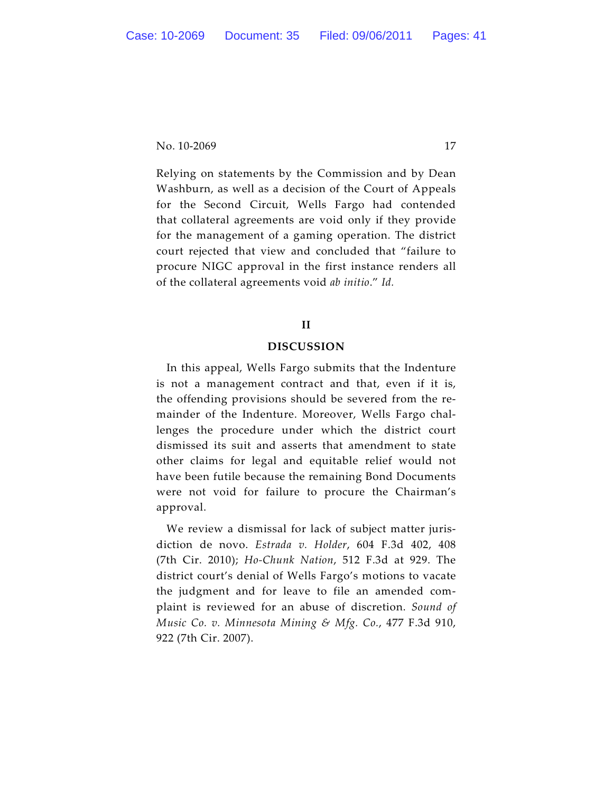Relying on statements by the Commission and by Dean Washburn, as well as a decision of the Court of Appeals for the Second Circuit, Wells Fargo had contended that collateral agreements are void only if they provide for the management of a gaming operation. The district court rejected that view and concluded that "failure to procure NIGC approval in the first instance renders all of the collateral agreements void *ab initio*." *Id.* 

# **II**

### **DISCUSSION**

In this appeal, Wells Fargo submits that the Indenture is not a management contract and that, even if it is, the offending provisions should be severed from the remainder of the Indenture. Moreover, Wells Fargo challenges the procedure under which the district court dismissed its suit and asserts that amendment to state other claims for legal and equitable relief would not have been futile because the remaining Bond Documents were not void for failure to procure the Chairman's approval.

We review a dismissal for lack of subject matter jurisdiction de novo. *Estrada v. Holder*, 604 F.3d 402, 408 (7th Cir. 2010); *Ho-Chunk Nation*, 512 F.3d at 929. The district court's denial of Wells Fargo's motions to vacate the judgment and for leave to file an amended complaint is reviewed for an abuse of discretion. *Sound of Music Co. v. Minnesota Mining & Mfg. Co.*, 477 F.3d 910, 922 (7th Cir. 2007).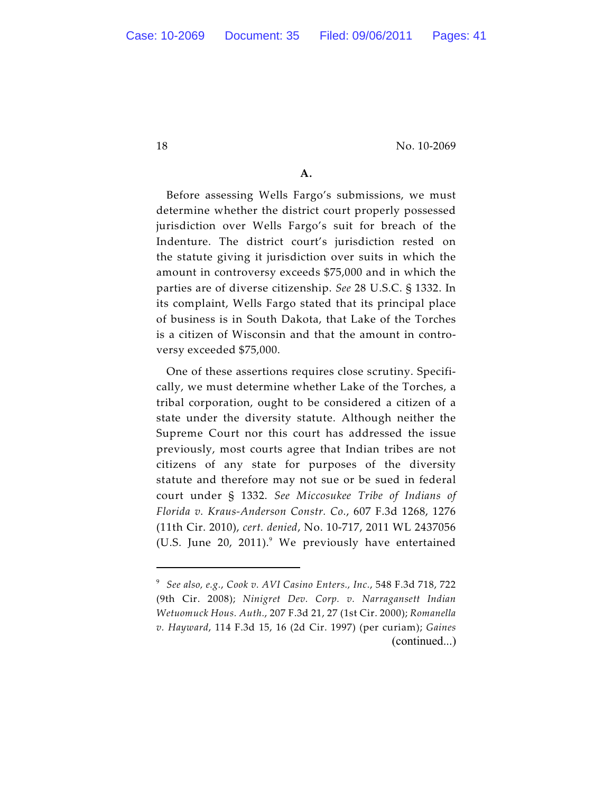# **A.**

Before assessing Wells Fargo's submissions, we must determine whether the district court properly possessed jurisdiction over Wells Fargo's suit for breach of the Indenture. The district court's jurisdiction rested on the statute giving it jurisdiction over suits in which the amount in controversy exceeds \$75,000 and in which the parties are of diverse citizenship. *See* 28 U.S.C. § 1332. In its complaint, Wells Fargo stated that its principal place of business is in South Dakota, that Lake of the Torches is a citizen of Wisconsin and that the amount in controversy exceeded \$75,000.

One of these assertions requires close scrutiny. Specifically, we must determine whether Lake of the Torches, a tribal corporation, ought to be considered a citizen of a state under the diversity statute. Although neither the Supreme Court nor this court has addressed the issue previously, most courts agree that Indian tribes are not citizens of any state for purposes of the diversity statute and therefore may not sue or be sued in federal court under § 1332. *See Miccosukee Tribe of Indians of Florida v. Kraus-Anderson Constr. Co.*, 607 F.3d 1268, 1276 (11th Cir. 2010), *cert. denied*, No. 10-717, 2011 WL 2437056 (U.S. June 20, 2011). $9$  We previously have entertained

<sup>&</sup>lt;sup>9</sup> See also, e.g., Cook v. AVI Casino Enters., Inc., 548 F.3d 718, 722 (9th Cir. 2008); *Ninigret Dev. Corp. v. Narragansett Indian Wetuomuck Hous. Auth.*, 207 F.3d 21, 27 (1st Cir. 2000); *Romanella v. Hayward*, 114 F.3d 15, 16 (2d Cir. 1997) (per curiam); *Gaines* (continued...)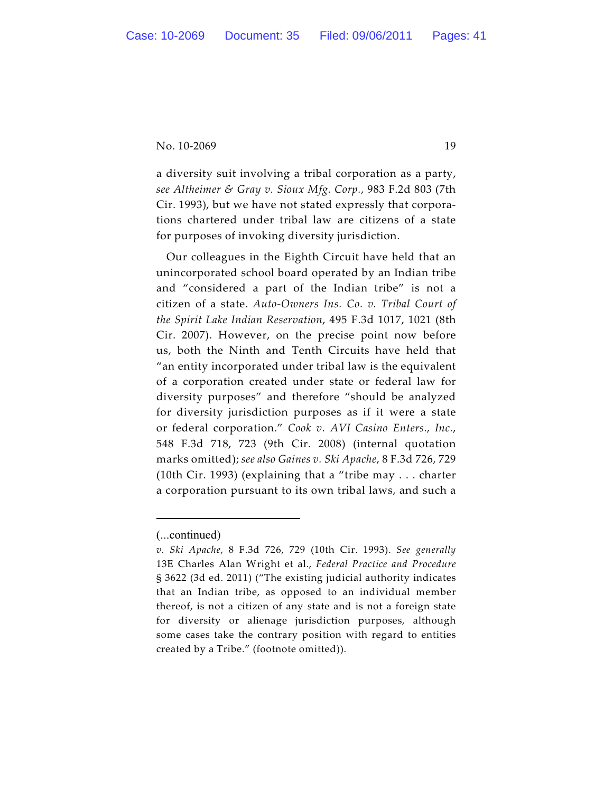a diversity suit involving a tribal corporation as a party, *see Altheimer & Gray v. Sioux Mfg. Corp.*, 983 F.2d 803 (7th Cir. 1993), but we have not stated expressly that corporations chartered under tribal law are citizens of a state for purposes of invoking diversity jurisdiction.

Our colleagues in the Eighth Circuit have held that an unincorporated school board operated by an Indian tribe and "considered a part of the Indian tribe" is not a citizen of a state. *Auto-Owners Ins. Co. v. Tribal Court of the Spirit Lake Indian Reservation*, 495 F.3d 1017, 1021 (8th Cir. 2007). However, on the precise point now before us, both the Ninth and Tenth Circuits have held that "an entity incorporated under tribal law is the equivalent of a corporation created under state or federal law for diversity purposes" and therefore "should be analyzed for diversity jurisdiction purposes as if it were a state or federal corporation." *Cook v. AVI Casino Enters., Inc.*, 548 F.3d 718, 723 (9th Cir. 2008) (internal quotation marks omitted); *see also Gaines v. Ski Apache*, 8 F.3d 726, 729 (10th Cir. 1993) (explaining that a "tribe may . . . charter a corporation pursuant to its own tribal laws, and such a

<sup>(...</sup>continued)

*v. Ski Apache*, 8 F.3d 726, 729 (10th Cir. 1993). *See generally* 13E Charles Alan Wright et al., *Federal Practice and Procedure* § 3622 (3d ed. 2011) ("The existing judicial authority indicates that an Indian tribe, as opposed to an individual member thereof, is not a citizen of any state and is not a foreign state for diversity or alienage jurisdiction purposes, although some cases take the contrary position with regard to entities created by a Tribe." (footnote omitted)).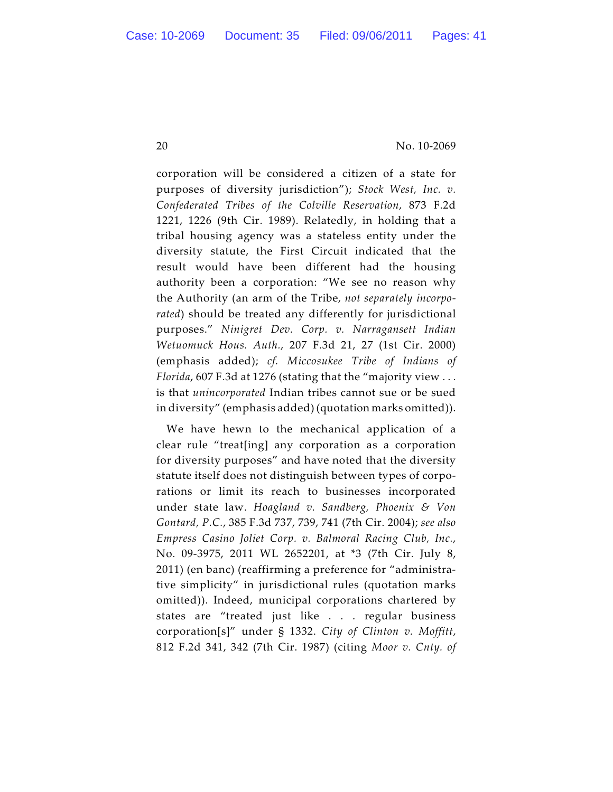corporation will be considered a citizen of a state for purposes of diversity jurisdiction"); *Stock West, Inc. v. Confederated Tribes of the Colville Reservation*, 873 F.2d 1221, 1226 (9th Cir. 1989). Relatedly, in holding that a tribal housing agency was a stateless entity under the diversity statute, the First Circuit indicated that the result would have been different had the housing authority been a corporation: "We see no reason why the Authority (an arm of the Tribe, *not separately incorporated*) should be treated any differently for jurisdictional purposes." *Ninigret Dev. Corp. v. Narragansett Indian Wetuomuck Hous. Auth.*, 207 F.3d 21, 27 (1st Cir. 2000) (emphasis added); *cf. Miccosukee Tribe of Indians of Florida*, 607 F.3d at 1276 (stating that the "majority view . . . is that *unincorporated* Indian tribes cannot sue or be sued in diversity" (emphasis added) (quotation marks omitted)).

We have hewn to the mechanical application of a clear rule "treat[ing] any corporation as a corporation for diversity purposes" and have noted that the diversity statute itself does not distinguish between types of corporations or limit its reach to businesses incorporated under state law. *Hoagland v. Sandberg, Phoenix & Von Gontard, P.C.*, 385 F.3d 737, 739, 741 (7th Cir. 2004); *see also Empress Casino Joliet Corp. v. Balmoral Racing Club, Inc.*, No. 09-3975, 2011 WL 2652201, at \*3 (7th Cir. July 8, 2011) (en banc) (reaffirming a preference for "administrative simplicity" in jurisdictional rules (quotation marks omitted)). Indeed, municipal corporations chartered by states are "treated just like . . . regular business corporation[s]" under § 1332. *City of Clinton v. Moffitt*, 812 F.2d 341, 342 (7th Cir. 1987) (citing *Moor v. Cnty. of*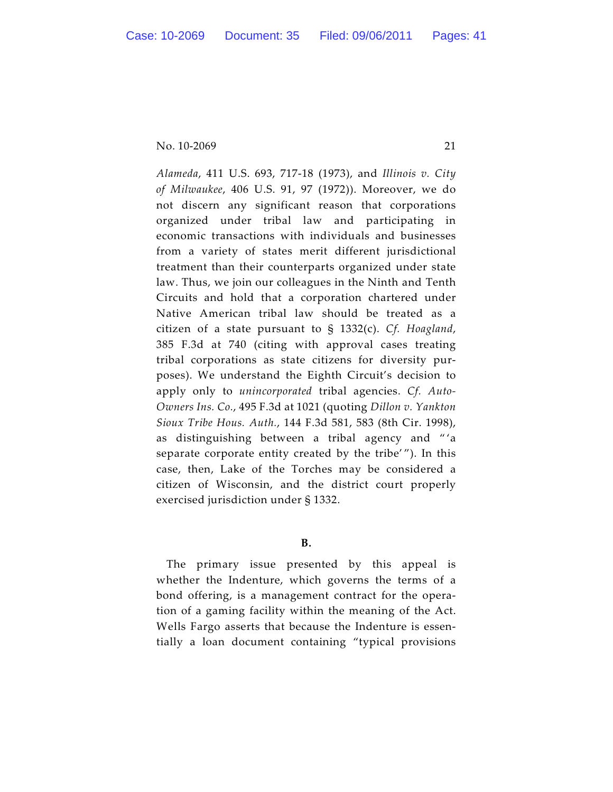*Alameda*, 411 U.S. 693, 717-18 (1973), and *Illinois v. City of Milwaukee*, 406 U.S. 91, 97 (1972)). Moreover, we do not discern any significant reason that corporations organized under tribal law and participating in economic transactions with individuals and businesses from a variety of states merit different jurisdictional treatment than their counterparts organized under state law. Thus, we join our colleagues in the Ninth and Tenth Circuits and hold that a corporation chartered under Native American tribal law should be treated as a citizen of a state pursuant to § 1332(c). *Cf. Hoagland*, 385 F.3d at 740 (citing with approval cases treating tribal corporations as state citizens for diversity purposes). We understand the Eighth Circuit's decision to apply only to *unincorporated* tribal agencies. *Cf. Auto-Owners Ins. Co.*, 495 F.3d at 1021 (quoting *Dillon v. Yankton Sioux Tribe Hous. Auth.*, 144 F.3d 581, 583 (8th Cir. 1998), as distinguishing between a tribal agency and " 'a separate corporate entity created by the tribe' "). In this case, then, Lake of the Torches may be considered a citizen of Wisconsin, and the district court properly exercised jurisdiction under § 1332.

**B.**

The primary issue presented by this appeal is whether the Indenture, which governs the terms of a bond offering, is a management contract for the operation of a gaming facility within the meaning of the Act. Wells Fargo asserts that because the Indenture is essentially a loan document containing "typical provisions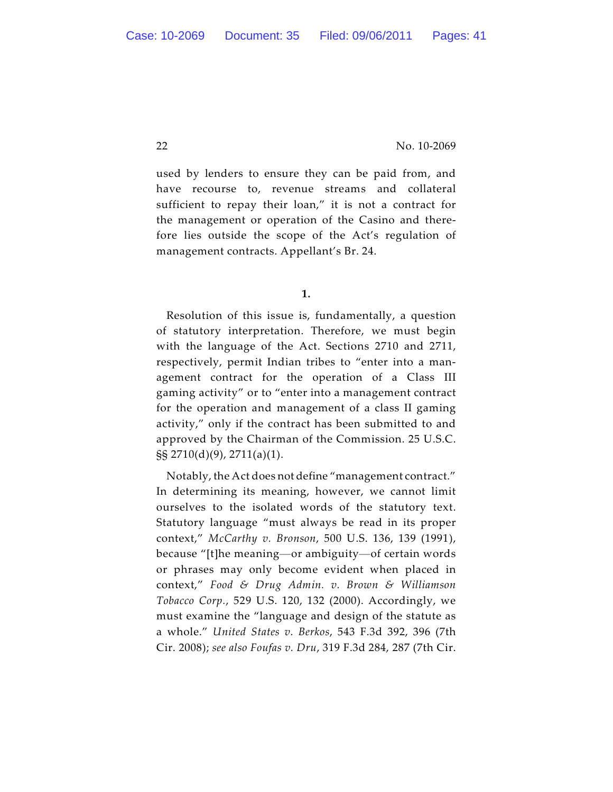used by lenders to ensure they can be paid from, and have recourse to, revenue streams and collateral sufficient to repay their loan," it is not a contract for the management or operation of the Casino and therefore lies outside the scope of the Act's regulation of management contracts. Appellant's Br. 24.

Resolution of this issue is, fundamentally, a question of statutory interpretation. Therefore, we must begin with the language of the Act. Sections 2710 and 2711, respectively, permit Indian tribes to "enter into a management contract for the operation of a Class III gaming activity" or to "enter into a management contract for the operation and management of a class II gaming activity," only if the contract has been submitted to and approved by the Chairman of the Commission. 25 U.S.C. §§ 2710(d)(9), 2711(a)(1).

Notably, the Act does not define "management contract." In determining its meaning, however, we cannot limit ourselves to the isolated words of the statutory text. Statutory language "must always be read in its proper context," *McCarthy v. Bronson*, 500 U.S. 136, 139 (1991), because "[t]he meaning—or ambiguity—of certain words or phrases may only become evident when placed in context," *Food & Drug Admin. v. Brown & Williamson Tobacco Corp.*, 529 U.S. 120, 132 (2000). Accordingly, we must examine the "language and design of the statute as a whole." *United States v. Berkos*, 543 F.3d 392, 396 (7th Cir. 2008); *see also Foufas v. Dru*, 319 F.3d 284, 287 (7th Cir.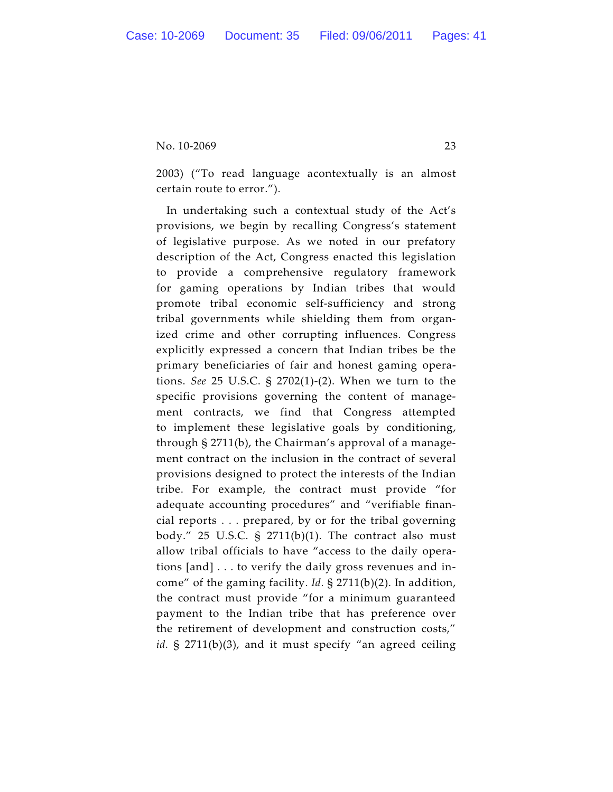2003) ("To read language acontextually is an almost certain route to error.").

In undertaking such a contextual study of the Act's provisions, we begin by recalling Congress's statement of legislative purpose. As we noted in our prefatory description of the Act, Congress enacted this legislation to provide a comprehensive regulatory framework for gaming operations by Indian tribes that would promote tribal economic self-sufficiency and strong tribal governments while shielding them from organized crime and other corrupting influences. Congress explicitly expressed a concern that Indian tribes be the primary beneficiaries of fair and honest gaming operations. *See* 25 U.S.C. § 2702(1)-(2). When we turn to the specific provisions governing the content of management contracts, we find that Congress attempted to implement these legislative goals by conditioning, through § 2711(b), the Chairman's approval of a management contract on the inclusion in the contract of several provisions designed to protect the interests of the Indian tribe. For example, the contract must provide "for adequate accounting procedures" and "verifiable financial reports . . . prepared, by or for the tribal governing body." 25 U.S.C. § 2711(b)(1). The contract also must allow tribal officials to have "access to the daily operations [and] . . . to verify the daily gross revenues and income" of the gaming facility. *Id.* § 2711(b)(2). In addition, the contract must provide "for a minimum guaranteed payment to the Indian tribe that has preference over the retirement of development and construction costs," *id.* § 2711(b)(3), and it must specify "an agreed ceiling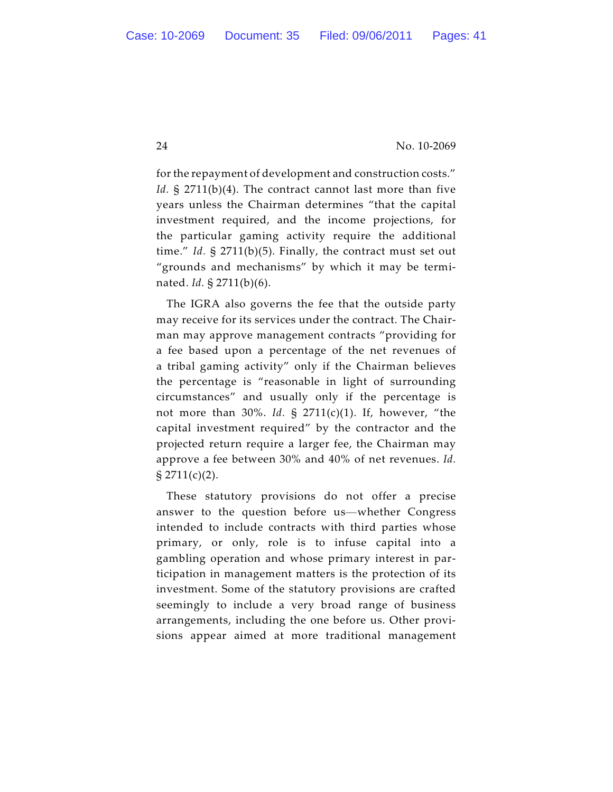for the repayment of development and construction costs." *Id.* § 2711(b)(4). The contract cannot last more than five years unless the Chairman determines "that the capital investment required, and the income projections, for the particular gaming activity require the additional time." *Id.* § 2711(b)(5). Finally, the contract must set out "grounds and mechanisms" by which it may be terminated. *Id.* § 2711(b)(6).

The IGRA also governs the fee that the outside party may receive for its services under the contract. The Chairman may approve management contracts "providing for a fee based upon a percentage of the net revenues of a tribal gaming activity" only if the Chairman believes the percentage is "reasonable in light of surrounding circumstances" and usually only if the percentage is not more than 30%. *Id.* § 2711(c)(1). If, however, "the capital investment required" by the contractor and the projected return require a larger fee, the Chairman may approve a fee between 30% and 40% of net revenues. *Id.*  $\S 2711(c)(2)$ .

These statutory provisions do not offer a precise answer to the question before us—whether Congress intended to include contracts with third parties whose primary, or only, role is to infuse capital into a gambling operation and whose primary interest in participation in management matters is the protection of its investment. Some of the statutory provisions are crafted seemingly to include a very broad range of business arrangements, including the one before us. Other provisions appear aimed at more traditional management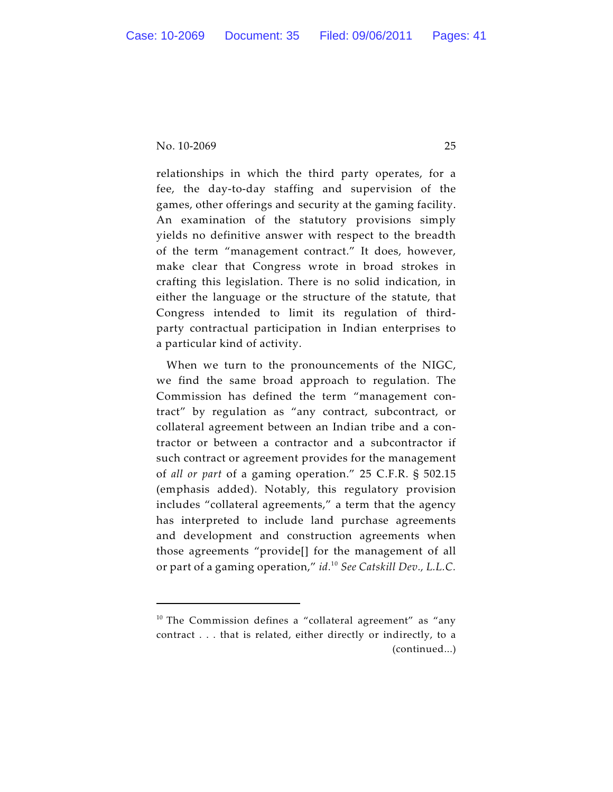relationships in which the third party operates, for a fee, the day-to-day staffing and supervision of the games, other offerings and security at the gaming facility. An examination of the statutory provisions simply yields no definitive answer with respect to the breadth of the term "management contract." It does, however, make clear that Congress wrote in broad strokes in crafting this legislation. There is no solid indication, in either the language or the structure of the statute, that Congress intended to limit its regulation of thirdparty contractual participation in Indian enterprises to a particular kind of activity.

When we turn to the pronouncements of the NIGC, we find the same broad approach to regulation. The Commission has defined the term "management contract" by regulation as "any contract, subcontract, or collateral agreement between an Indian tribe and a contractor or between a contractor and a subcontractor if such contract or agreement provides for the management of *all or part* of a gaming operation." 25 C.F.R. § 502.15 (emphasis added). Notably, this regulatory provision includes "collateral agreements," a term that the agency has interpreted to include land purchase agreements and development and construction agreements when those agreements "provide[] for the management of all or part of a gaming operation," *id.*<sup>10</sup> See Catskill Dev., L.L.C.

 $10$  The Commission defines a "collateral agreement" as "any contract . . . that is related, either directly or indirectly, to a (continued...)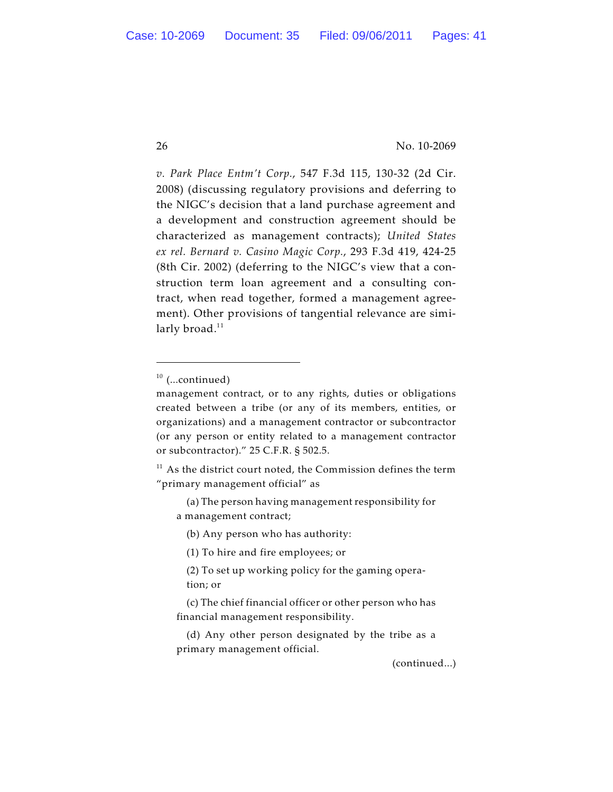*v. Park Place Entm't Corp.*, 547 F.3d 115, 130-32 (2d Cir. 2008) (discussing regulatory provisions and deferring to the NIGC's decision that a land purchase agreement and a development and construction agreement should be characterized as management contracts); *United States ex rel. Bernard v. Casino Magic Corp.*, 293 F.3d 419, 424-25 (8th Cir. 2002) (deferring to the NIGC's view that a construction term loan agreement and a consulting contract, when read together, formed a management agreement). Other provisions of tangential relevance are similarly broad.<sup>11</sup>

(a) The person having management responsibility for a management contract;

(b) Any person who has authority:

- (1) To hire and fire employees; or
- (2) To set up working policy for the gaming operation; or
- (c) The chief financial officer or other person who has financial management responsibility.
- (d) Any other person designated by the tribe as a primary management official.

(continued...)

 $10$  (...continued)

management contract, or to any rights, duties or obligations created between a tribe (or any of its members, entities, or organizations) and a management contractor or subcontractor (or any person or entity related to a management contractor or subcontractor)." 25 C.F.R. § 502.5.

 $11$  As the district court noted, the Commission defines the term "primary management official" as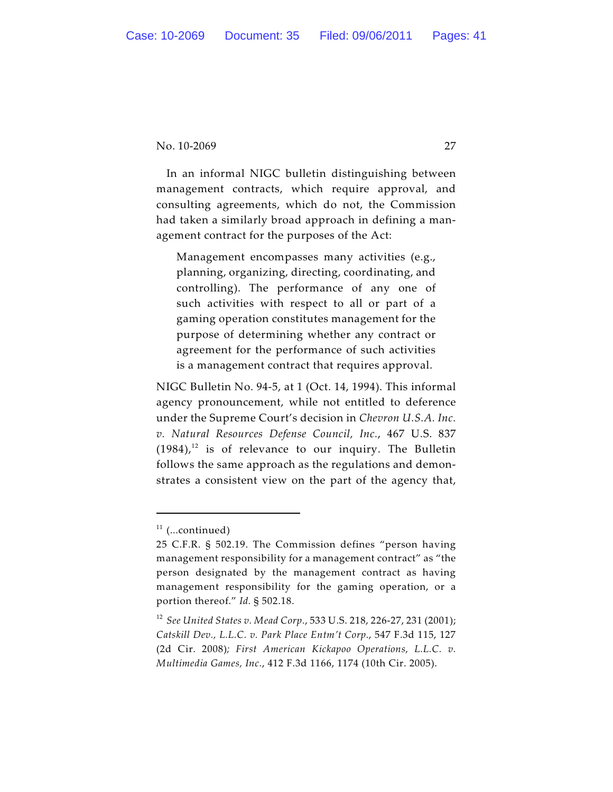In an informal NIGC bulletin distinguishing between management contracts, which require approval, and consulting agreements, which do not, the Commission had taken a similarly broad approach in defining a management contract for the purposes of the Act:

Management encompasses many activities (e.g., planning, organizing, directing, coordinating, and controlling). The performance of any one of such activities with respect to all or part of a gaming operation constitutes management for the purpose of determining whether any contract or agreement for the performance of such activities is a management contract that requires approval.

NIGC Bulletin No. 94-5, at 1 (Oct. 14, 1994). This informal agency pronouncement, while not entitled to deference under the Supreme Court's decision in *Chevron U.S.A. Inc. v. Natural Resources Defense Council, Inc.*, 467 U.S. 837  $(1984)<sup>12</sup>$  is of relevance to our inquiry. The Bulletin follows the same approach as the regulations and demonstrates a consistent view on the part of the agency that,

 $11$  (...continued)

<sup>25</sup> C.F.R. § 502.19. The Commission defines "person having management responsibility for a management contract" as "the person designated by the management contract as having management responsibility for the gaming operation, or a portion thereof." *Id.* § 502.18.

<sup>&</sup>lt;sup>12</sup> See United States v. Mead Corp., 533 U.S. 218, 226-27, 231 (2001); *Catskill Dev., L.L.C. v. Park Place Entm't Corp.*, 547 F.3d 115, 127 (2d Cir. 2008)*; First American Kickapoo Operations, L.L.C. v. Multimedia Games, Inc.*, 412 F.3d 1166, 1174 (10th Cir. 2005).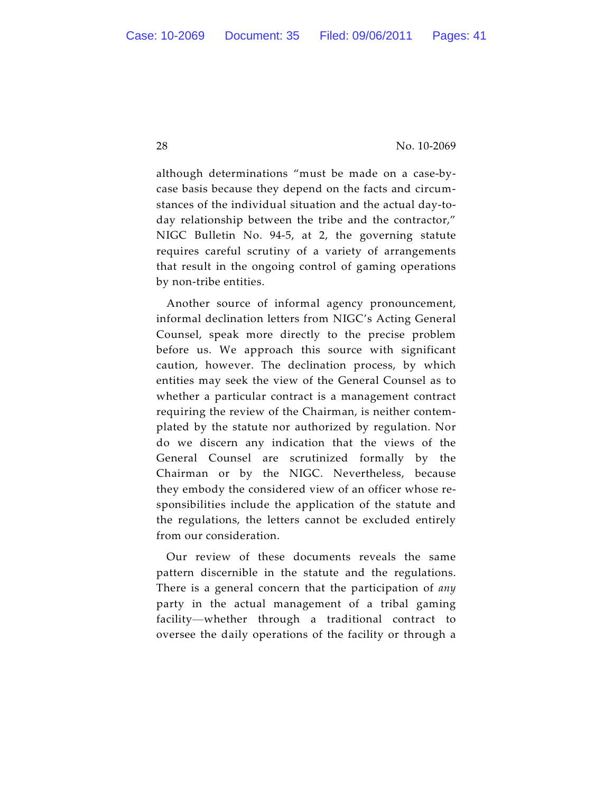although determinations "must be made on a case-bycase basis because they depend on the facts and circumstances of the individual situation and the actual day-today relationship between the tribe and the contractor," NIGC Bulletin No. 94-5, at 2, the governing statute requires careful scrutiny of a variety of arrangements that result in the ongoing control of gaming operations by non-tribe entities.

Another source of informal agency pronouncement, informal declination letters from NIGC's Acting General Counsel, speak more directly to the precise problem before us. We approach this source with significant caution, however. The declination process, by which entities may seek the view of the General Counsel as to whether a particular contract is a management contract requiring the review of the Chairman, is neither contemplated by the statute nor authorized by regulation. Nor do we discern any indication that the views of the General Counsel are scrutinized formally by the Chairman or by the NIGC. Nevertheless, because they embody the considered view of an officer whose responsibilities include the application of the statute and the regulations, the letters cannot be excluded entirely from our consideration.

Our review of these documents reveals the same pattern discernible in the statute and the regulations. There is a general concern that the participation of *any* party in the actual management of a tribal gaming facility—whether through a traditional contract to oversee the daily operations of the facility or through a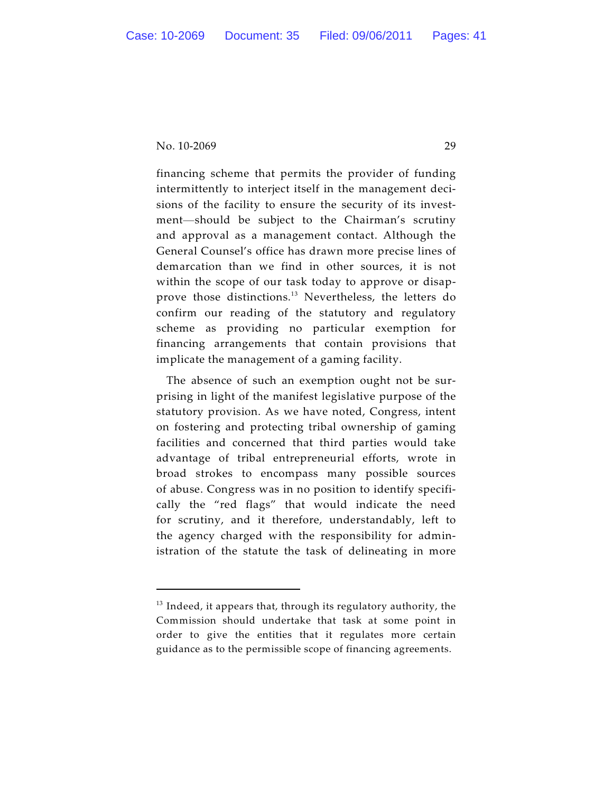financing scheme that permits the provider of funding intermittently to interject itself in the management decisions of the facility to ensure the security of its investment—should be subject to the Chairman's scrutiny and approval as a management contact. Although the General Counsel's office has drawn more precise lines of demarcation than we find in other sources, it is not within the scope of our task today to approve or disapprove those distinctions.<sup>13</sup> Nevertheless, the letters do confirm our reading of the statutory and regulatory scheme as providing no particular exemption for financing arrangements that contain provisions that implicate the management of a gaming facility.

The absence of such an exemption ought not be surprising in light of the manifest legislative purpose of the statutory provision. As we have noted, Congress, intent on fostering and protecting tribal ownership of gaming facilities and concerned that third parties would take advantage of tribal entrepreneurial efforts, wrote in broad strokes to encompass many possible sources of abuse. Congress was in no position to identify specifically the "red flags" that would indicate the need for scrutiny, and it therefore, understandably, left to the agency charged with the responsibility for administration of the statute the task of delineating in more

 $13$  Indeed, it appears that, through its regulatory authority, the Commission should undertake that task at some point in order to give the entities that it regulates more certain guidance as to the permissible scope of financing agreements.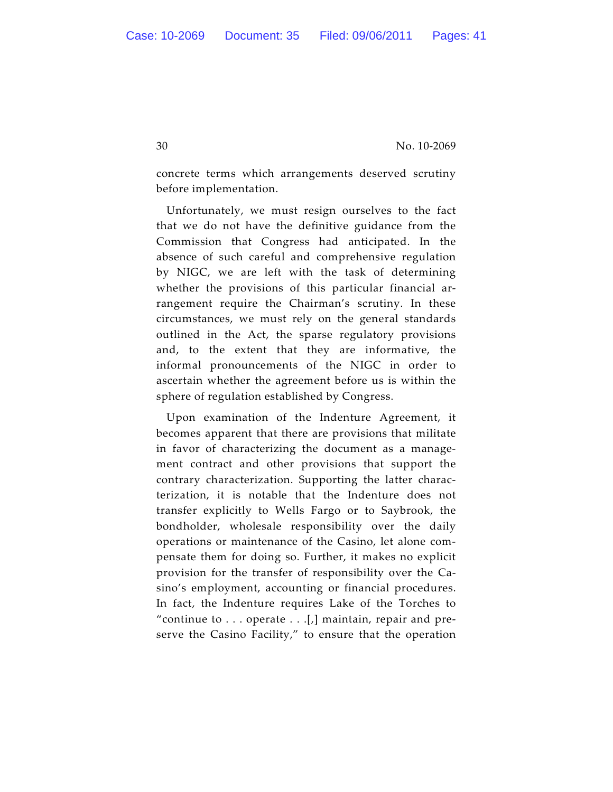concrete terms which arrangements deserved scrutiny before implementation.

Unfortunately, we must resign ourselves to the fact that we do not have the definitive guidance from the Commission that Congress had anticipated. In the absence of such careful and comprehensive regulation by NIGC, we are left with the task of determining whether the provisions of this particular financial arrangement require the Chairman's scrutiny. In these circumstances, we must rely on the general standards outlined in the Act, the sparse regulatory provisions and, to the extent that they are informative, the informal pronouncements of the NIGC in order to ascertain whether the agreement before us is within the sphere of regulation established by Congress.

Upon examination of the Indenture Agreement, it becomes apparent that there are provisions that militate in favor of characterizing the document as a management contract and other provisions that support the contrary characterization. Supporting the latter characterization, it is notable that the Indenture does not transfer explicitly to Wells Fargo or to Saybrook, the bondholder, wholesale responsibility over the daily operations or maintenance of the Casino, let alone compensate them for doing so. Further, it makes no explicit provision for the transfer of responsibility over the Casino's employment, accounting or financial procedures. In fact, the Indenture requires Lake of the Torches to "continue to  $\ldots$  operate  $\ldots$  [,] maintain, repair and preserve the Casino Facility," to ensure that the operation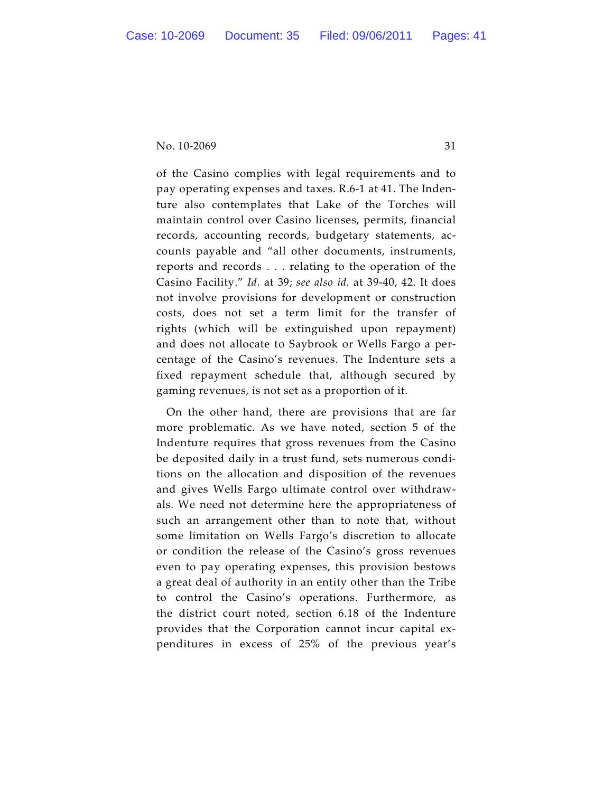of the Casino complies with legal requirements and to pay operating expenses and taxes. R.6-1 at 41. The Indenture also contemplates that Lake of the Torches will maintain control over Casino licenses, permits, financial records, accounting records, budgetary statements, accounts payable and "all other documents, instruments, reports and records . . . relating to the operation of the Casino Facility." *Id.* at 39; *see also id.* at 39-40, 42. It does not involve provisions for development or construction costs, does not set a term limit for the transfer of rights (which will be extinguished upon repayment) and does not allocate to Saybrook or Wells Fargo a percentage of the Casino's revenues. The Indenture sets a fixed repayment schedule that, although secured by gaming revenues, is not set as a proportion of it.

On the other hand, there are provisions that are far more problematic. As we have noted, section 5 of the Indenture requires that gross revenues from the Casino be deposited daily in a trust fund, sets numerous conditions on the allocation and disposition of the revenues and gives Wells Fargo ultimate control over withdrawals. We need not determine here the appropriateness of such an arrangement other than to note that, without some limitation on Wells Fargo's discretion to allocate or condition the release of the Casino's gross revenues even to pay operating expenses, this provision bestows a great deal of authority in an entity other than the Tribe to control the Casino's operations. Furthermore, as the district court noted, section 6.18 of the Indenture provides that the Corporation cannot incur capital expenditures in excess of 25% of the previous year's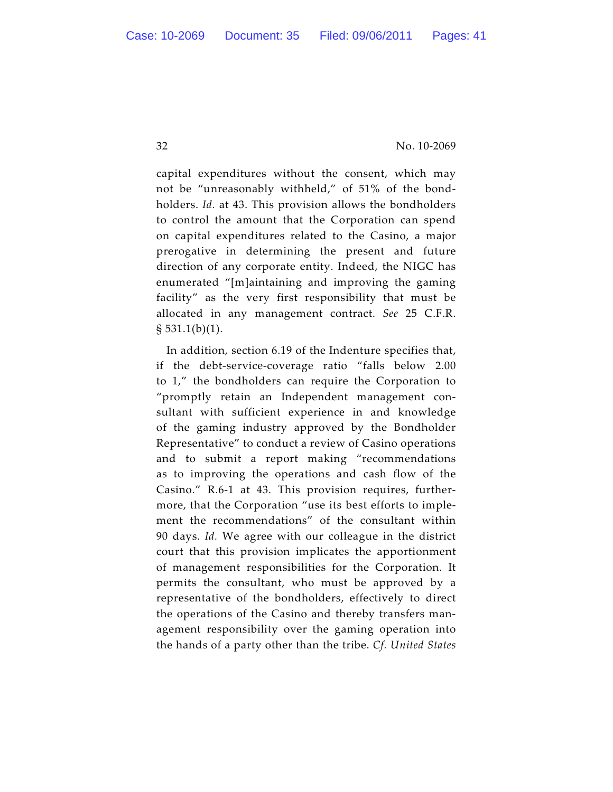capital expenditures without the consent, which may not be "unreasonably withheld," of 51% of the bondholders. *Id.* at 43. This provision allows the bondholders to control the amount that the Corporation can spend on capital expenditures related to the Casino, a major prerogative in determining the present and future direction of any corporate entity. Indeed, the NIGC has enumerated "[m]aintaining and improving the gaming facility" as the very first responsibility that must be allocated in any management contract. *See* 25 C.F.R.  $\S 531.1(b)(1)$ .

In addition, section 6.19 of the Indenture specifies that, if the debt-service-coverage ratio "falls below 2.00 to 1," the bondholders can require the Corporation to "promptly retain an Independent management consultant with sufficient experience in and knowledge of the gaming industry approved by the Bondholder Representative" to conduct a review of Casino operations and to submit a report making "recommendations as to improving the operations and cash flow of the Casino." R.6-1 at 43. This provision requires, furthermore, that the Corporation "use its best efforts to implement the recommendations" of the consultant within 90 days. *Id.* We agree with our colleague in the district court that this provision implicates the apportionment of management responsibilities for the Corporation. It permits the consultant, who must be approved by a representative of the bondholders, effectively to direct the operations of the Casino and thereby transfers management responsibility over the gaming operation into the hands of a party other than the tribe. *Cf. United States*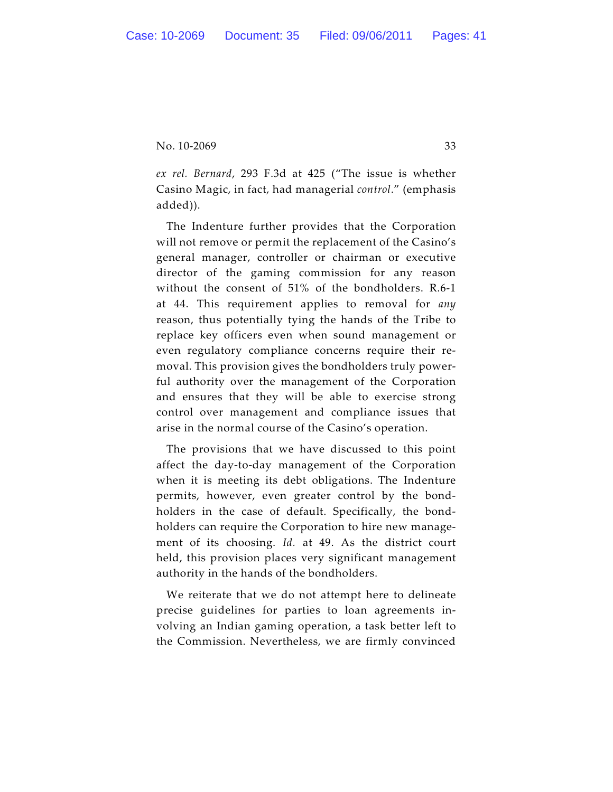*ex rel. Bernard*, 293 F.3d at 425 ("The issue is whether Casino Magic, in fact, had managerial *control*." (emphasis added)).

The Indenture further provides that the Corporation will not remove or permit the replacement of the Casino's general manager, controller or chairman or executive director of the gaming commission for any reason without the consent of 51% of the bondholders. R.6-1 at 44. This requirement applies to removal for *any* reason, thus potentially tying the hands of the Tribe to replace key officers even when sound management or even regulatory compliance concerns require their removal. This provision gives the bondholders truly powerful authority over the management of the Corporation and ensures that they will be able to exercise strong control over management and compliance issues that arise in the normal course of the Casino's operation.

The provisions that we have discussed to this point affect the day-to-day management of the Corporation when it is meeting its debt obligations. The Indenture permits, however, even greater control by the bondholders in the case of default. Specifically, the bondholders can require the Corporation to hire new management of its choosing. *Id.* at 49. As the district court held, this provision places very significant management authority in the hands of the bondholders.

We reiterate that we do not attempt here to delineate precise guidelines for parties to loan agreements involving an Indian gaming operation, a task better left to the Commission. Nevertheless, we are firmly convinced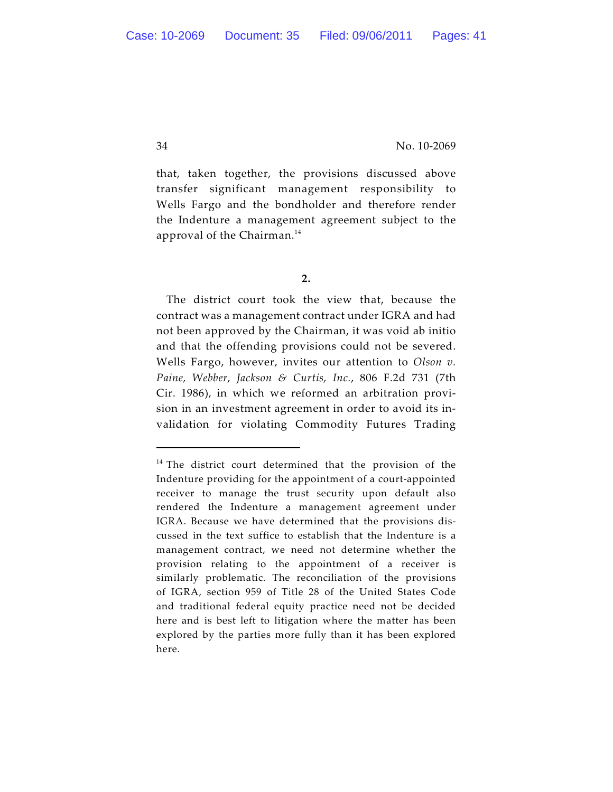that, taken together, the provisions discussed above transfer significant management responsibility to Wells Fargo and the bondholder and therefore render the Indenture a management agreement subject to the approval of the Chairman. 14

**2.**

The district court took the view that, because the contract was a management contract under IGRA and had not been approved by the Chairman, it was void ab initio and that the offending provisions could not be severed. Wells Fargo, however, invites our attention to *Olson v. Paine, Webber, Jackson & Curtis, Inc.*, 806 F.2d 731 (7th Cir. 1986), in which we reformed an arbitration provision in an investment agreement in order to avoid its invalidation for violating Commodity Futures Trading

 $14$  The district court determined that the provision of the Indenture providing for the appointment of a court-appointed receiver to manage the trust security upon default also rendered the Indenture a management agreement under IGRA. Because we have determined that the provisions discussed in the text suffice to establish that the Indenture is a management contract, we need not determine whether the provision relating to the appointment of a receiver is similarly problematic. The reconciliation of the provisions of IGRA, section 959 of Title 28 of the United States Code and traditional federal equity practice need not be decided here and is best left to litigation where the matter has been explored by the parties more fully than it has been explored here.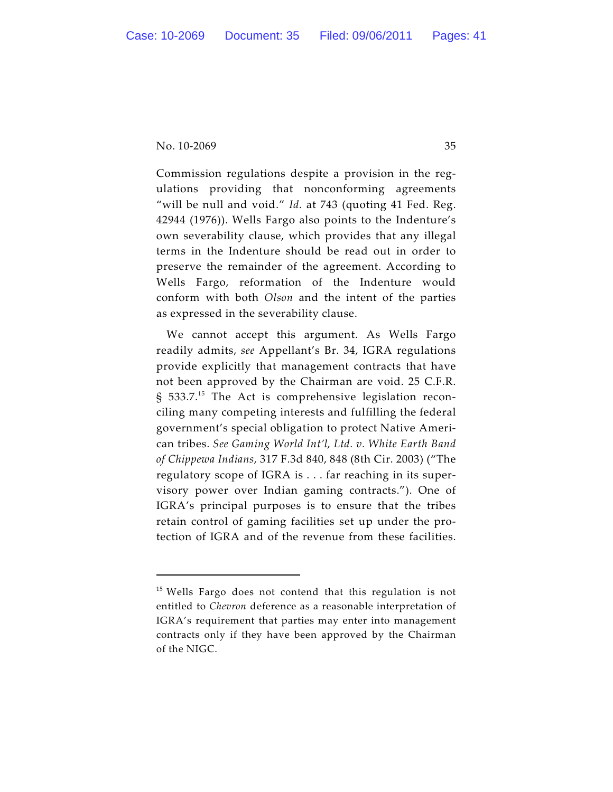Commission regulations despite a provision in the regulations providing that nonconforming agreements "will be null and void." *Id.* at 743 (quoting 41 Fed. Reg. 42944 (1976)). Wells Fargo also points to the Indenture's own severability clause, which provides that any illegal terms in the Indenture should be read out in order to preserve the remainder of the agreement. According to Wells Fargo, reformation of the Indenture would conform with both *Olson* and the intent of the parties as expressed in the severability clause.

We cannot accept this argument. As Wells Fargo readily admits, *see* Appellant's Br. 34, IGRA regulations provide explicitly that management contracts that have not been approved by the Chairman are void. 25 C.F.R.  $\S$  533.7.<sup>15</sup> The Act is comprehensive legislation reconciling many competing interests and fulfilling the federal government's special obligation to protect Native American tribes. *See Gaming World Int'l, Ltd. v. White Earth Band of Chippewa Indians*, 317 F.3d 840, 848 (8th Cir. 2003) ("The regulatory scope of IGRA is . . . far reaching in its supervisory power over Indian gaming contracts."). One of IGRA's principal purposes is to ensure that the tribes retain control of gaming facilities set up under the protection of IGRA and of the revenue from these facilities.

 $15$  Wells Fargo does not contend that this regulation is not entitled to *Chevron* deference as a reasonable interpretation of IGRA's requirement that parties may enter into management contracts only if they have been approved by the Chairman of the NIGC.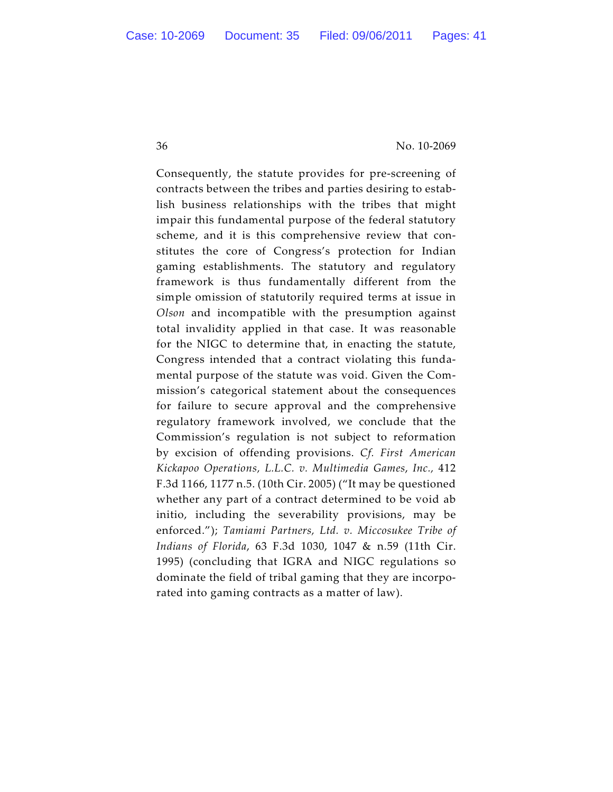Consequently, the statute provides for pre-screening of contracts between the tribes and parties desiring to establish business relationships with the tribes that might impair this fundamental purpose of the federal statutory scheme, and it is this comprehensive review that constitutes the core of Congress's protection for Indian gaming establishments. The statutory and regulatory framework is thus fundamentally different from the simple omission of statutorily required terms at issue in *Olson* and incompatible with the presumption against total invalidity applied in that case. It was reasonable for the NIGC to determine that, in enacting the statute, Congress intended that a contract violating this fundamental purpose of the statute was void. Given the Commission's categorical statement about the consequences for failure to secure approval and the comprehensive regulatory framework involved, we conclude that the Commission's regulation is not subject to reformation by excision of offending provisions. *Cf. First American Kickapoo Operations, L.L.C. v. Multimedia Games*, *Inc.,* 412 F.3d 1166, 1177 n.5. (10th Cir. 2005) ("It may be questioned whether any part of a contract determined to be void ab initio, including the severability provisions, may be enforced."); *Tamiami Partners, Ltd. v. Miccosukee Tribe of Indians of Florida*, 63 F.3d 1030, 1047 & n.59 (11th Cir. 1995) (concluding that IGRA and NIGC regulations so dominate the field of tribal gaming that they are incorporated into gaming contracts as a matter of law).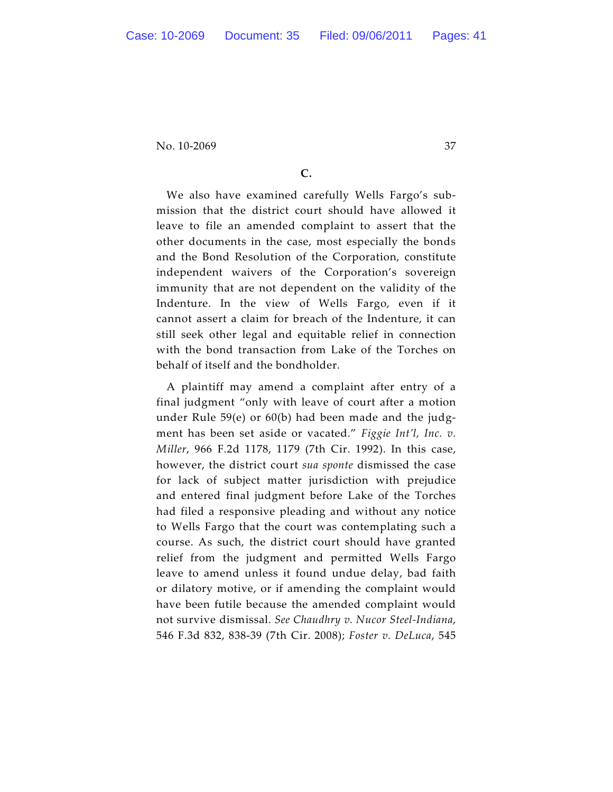# **C.**

We also have examined carefully Wells Fargo's submission that the district court should have allowed it leave to file an amended complaint to assert that the other documents in the case, most especially the bonds and the Bond Resolution of the Corporation, constitute independent waivers of the Corporation's sovereign immunity that are not dependent on the validity of the Indenture. In the view of Wells Fargo, even if it cannot assert a claim for breach of the Indenture, it can still seek other legal and equitable relief in connection with the bond transaction from Lake of the Torches on behalf of itself and the bondholder.

A plaintiff may amend a complaint after entry of a final judgment "only with leave of court after a motion under Rule 59(e) or 60(b) had been made and the judgment has been set aside or vacated." *Figgie Int'l, Inc. v. Miller*, 966 F.2d 1178, 1179 (7th Cir. 1992). In this case, however, the district court *sua sponte* dismissed the case for lack of subject matter jurisdiction with prejudice and entered final judgment before Lake of the Torches had filed a responsive pleading and without any notice to Wells Fargo that the court was contemplating such a course. As such, the district court should have granted relief from the judgment and permitted Wells Fargo leave to amend unless it found undue delay, bad faith or dilatory motive, or if amending the complaint would have been futile because the amended complaint would not survive dismissal. *See Chaudhry v. Nucor Steel-Indiana*, 546 F.3d 832, 838-39 (7th Cir. 2008); *Foster v. DeLuca*, 545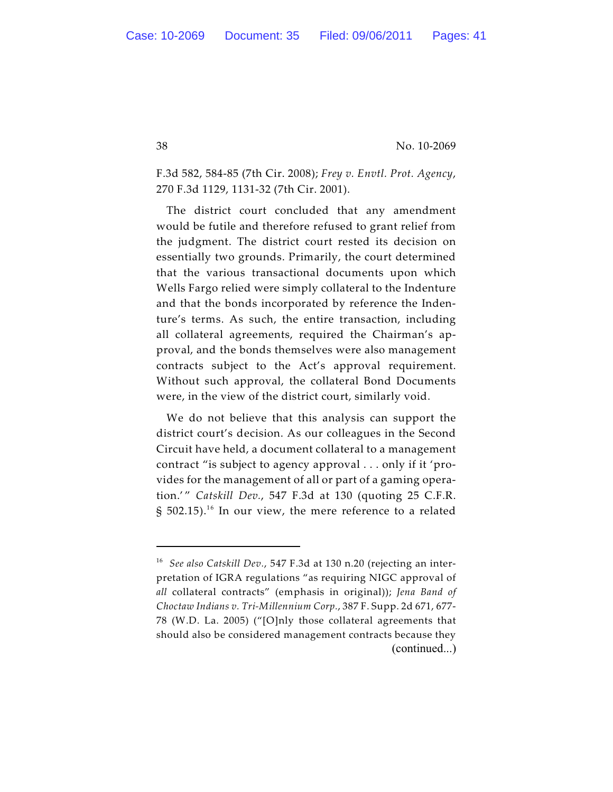F.3d 582, 584-85 (7th Cir. 2008); *Frey v. Envtl. Prot. Agency*, 270 F.3d 1129, 1131-32 (7th Cir. 2001).

The district court concluded that any amendment would be futile and therefore refused to grant relief from the judgment. The district court rested its decision on essentially two grounds. Primarily, the court determined that the various transactional documents upon which Wells Fargo relied were simply collateral to the Indenture and that the bonds incorporated by reference the Indenture's terms. As such, the entire transaction, including all collateral agreements, required the Chairman's approval, and the bonds themselves were also management contracts subject to the Act's approval requirement. Without such approval, the collateral Bond Documents were, in the view of the district court, similarly void.

We do not believe that this analysis can support the district court's decision. As our colleagues in the Second Circuit have held, a document collateral to a management contract "is subject to agency approval . . . only if it 'provides for the management of all or part of a gaming operation.' " *Catskill Dev.*, 547 F.3d at 130 (quoting 25 C.F.R.  $\S$  502.15). $^{16}$  In our view, the mere reference to a related

<sup>&</sup>lt;sup>16</sup> See also Catskill Dev., 547 F.3d at 130 n.20 (rejecting an interpretation of IGRA regulations "as requiring NIGC approval of *all* collateral contracts" (emphasis in original)); *Jena Band of Choctaw Indians v. Tri-Millennium Corp.*, 387 F. Supp. 2d 671, 677- 78 (W.D. La. 2005) ("[O]nly those collateral agreements that should also be considered management contracts because they (continued...)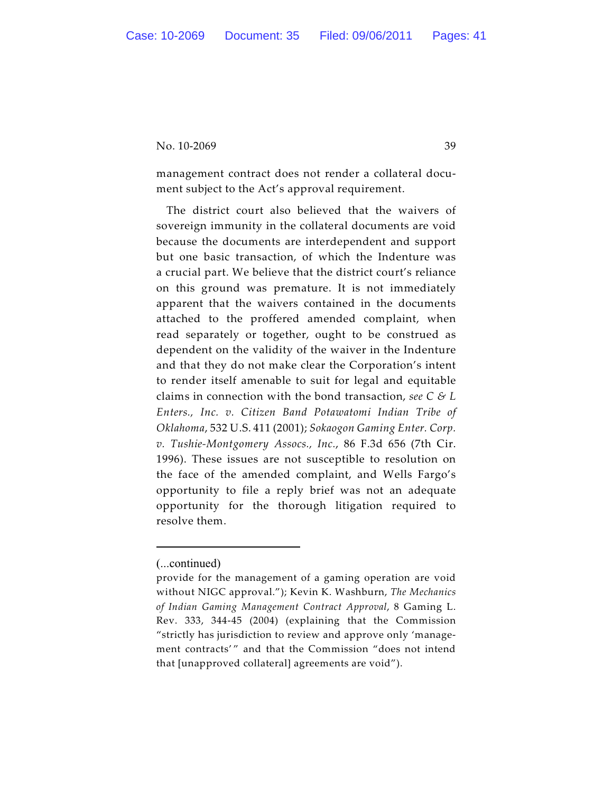management contract does not render a collateral document subject to the Act's approval requirement.

The district court also believed that the waivers of sovereign immunity in the collateral documents are void because the documents are interdependent and support but one basic transaction, of which the Indenture was a crucial part. We believe that the district court's reliance on this ground was premature. It is not immediately apparent that the waivers contained in the documents attached to the proffered amended complaint, when read separately or together, ought to be construed as dependent on the validity of the waiver in the Indenture and that they do not make clear the Corporation's intent to render itself amenable to suit for legal and equitable claims in connection with the bond transaction, *see C & L Enters., Inc. v. Citizen Band Potawatomi Indian Tribe of Oklahoma*, 532 U.S. 411 (2001); *Sokaogon Gaming Enter. Corp. v. Tushie-Montgomery Assocs., Inc.*, 86 F.3d 656 (7th Cir. 1996). These issues are not susceptible to resolution on the face of the amended complaint, and Wells Fargo's opportunity to file a reply brief was not an adequate opportunity for the thorough litigation required to resolve them.

<sup>(...</sup>continued)

provide for the management of a gaming operation are void without NIGC approval."); Kevin K. Washburn, *The Mechanics of Indian Gaming Management Contract Approval*, 8 Gaming L. Rev. 333, 344-45 (2004) (explaining that the Commission "strictly has jurisdiction to review and approve only 'management contracts'" and that the Commission "does not intend that [unapproved collateral] agreements are void").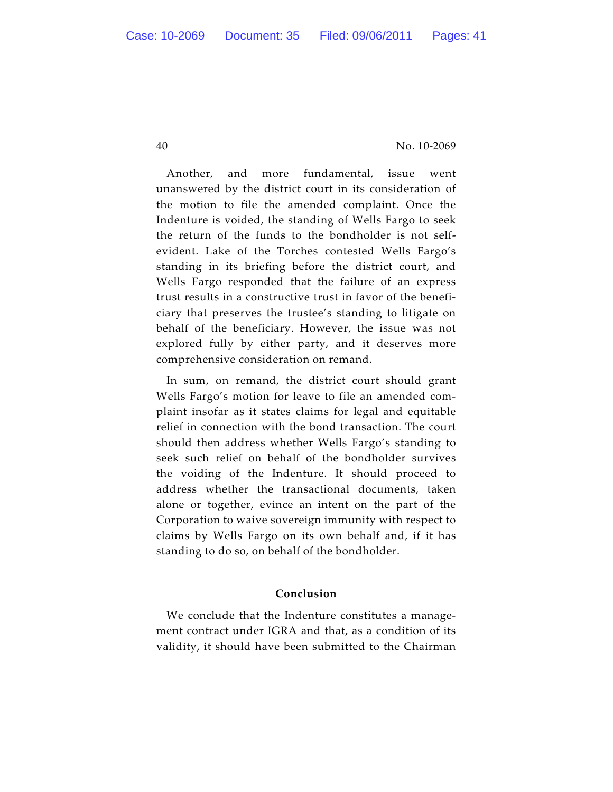Another, and more fundamental, issue went unanswered by the district court in its consideration of the motion to file the amended complaint. Once the Indenture is voided, the standing of Wells Fargo to seek the return of the funds to the bondholder is not selfevident. Lake of the Torches contested Wells Fargo's standing in its briefing before the district court, and Wells Fargo responded that the failure of an express trust results in a constructive trust in favor of the beneficiary that preserves the trustee's standing to litigate on behalf of the beneficiary. However, the issue was not explored fully by either party, and it deserves more comprehensive consideration on remand.

In sum, on remand, the district court should grant Wells Fargo's motion for leave to file an amended complaint insofar as it states claims for legal and equitable relief in connection with the bond transaction. The court should then address whether Wells Fargo's standing to seek such relief on behalf of the bondholder survives the voiding of the Indenture. It should proceed to address whether the transactional documents, taken alone or together, evince an intent on the part of the Corporation to waive sovereign immunity with respect to claims by Wells Fargo on its own behalf and, if it has standing to do so, on behalf of the bondholder.

#### **Conclusion**

We conclude that the Indenture constitutes a management contract under IGRA and that, as a condition of its validity, it should have been submitted to the Chairman